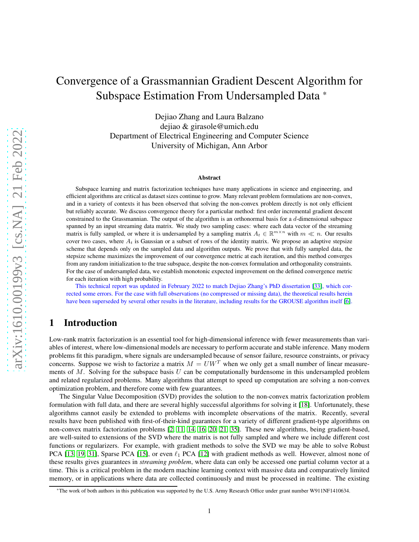# Convergence of a Grassmannian Gradient Descent Algorithm for Subspace Estimation From Undersampled Data \*

Dejiao Zhang and Laura Balzano dejiao & girasole@umich.edu Department of Electrical Engineering and Computer Science University of Michigan, Ann Arbor

#### Abstract

Subspace learning and matrix factorization techniques have many applications in science and engineering, and efficient algorithms are critical as dataset sizes continue to grow. Many relevant problem formulations are non-convex, and in a variety of contexts it has been observed that solving the non-convex problem directly is not only efficient but reliably accurate. We discuss convergence theory for a particular method: first order incremental gradient descent constrained to the Grassmannian. The output of the algorithm is an orthonormal basis for a d-dimensional subspace spanned by an input streaming data matrix. We study two sampling cases: where each data vector of the streaming matrix is fully sampled, or where it is undersampled by a sampling matrix  $A_t \in \mathbb{R}^{m \times n}$  with  $m \ll n$ . Our results cover two cases, where  $A_t$  is Gaussian or a subset of rows of the identity matrix. We propose an adaptive stepsize scheme that depends only on the sampled data and algorithm outputs. We prove that with fully sampled data, the stepsize scheme maximizes the improvement of our convergence metric at each iteration, and this method converges from any random initialization to the true subspace, despite the non-convex formulation and orthogonality constraints. For the case of undersampled data, we establish monotonic expected improvement on the defined convergence metric for each iteration with high probability.

This technical report was updated in February 2022 to match Dejiao Zhang's PhD dissertation [\[33\]](#page-30-0), which corrected some errors. For the case with full observations (no compressed or missing data), the theoretical results herein have been superseded by several other results in the literature, including results for the GROUSE algorithm itself [\[6\]](#page-29-0).

# 1 Introduction

Low-rank matrix factorization is an essential tool for high-dimensional inference with fewer measurements than variables of interest, where low-dimensional models are necessary to perform accurate and stable inference. Many modern problems fit this paradigm, where signals are undersampled because of sensor failure, resource constraints, or privacy concerns. Suppose we wish to factorize a matrix  $M = U W<sup>T</sup>$  when we only get a small number of linear measurements of  $M$ . Solving for the subspace basis U can be computationally burdensome in this undersampled problem and related regularized problems. Many algorithms that attempt to speed up computation are solving a non-convex optimization problem, and therefore come with few guarantees.

The Singular Value Decomposition (SVD) provides the solution to the non-convex matrix factorization problem formulation with full data, and there are several highly successful algorithms for solving it [\[18\]](#page-30-1). Unfortunately, these algorithms cannot easily be extended to problems with incomplete observations of the matrix. Recently, several results have been published with first-of-their-kind guarantees for a variety of different gradient-type algorithms on non-convex matrix factorization problems [\[2,](#page-29-1) [11,](#page-29-2) [14,](#page-29-3) [16,](#page-30-2) [20,](#page-30-3) [21,](#page-30-4) [35\]](#page-30-5). These new algorithms, being gradient-based, are well-suited to extensions of the SVD where the matrix is not fully sampled and where we include different cost functions or regularizers. For example, with gradient methods to solve the SVD we may be able to solve Robust PCA [\[13,](#page-29-4) [19,](#page-30-6) [31\]](#page-30-7), Sparse PCA [\[15\]](#page-30-8), or even  $\ell_1$  PCA [\[12\]](#page-29-5) with gradient methods as well. However, almost none of these results gives guarantees in *streaming problem*, where data can only be accessed one partial column vector at a time. This is a critical problem in the modern machine learning context with massive data and comparatively limited memory, or in applications where data are collected continuously and must be processed in realtime. The existing

<sup>\*</sup>The work of both authors in this publication was supported by the U.S. Army Research Office under grant number W911NF1410634.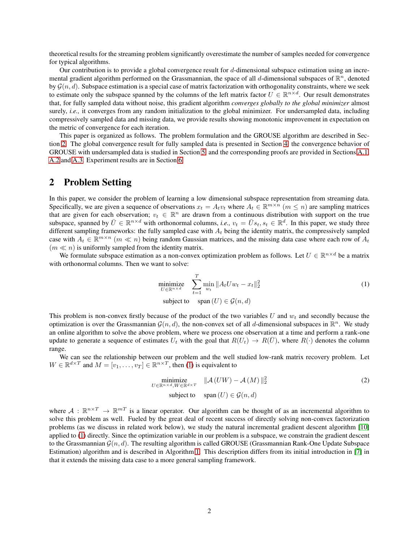theoretical results for the streaming problem significantly overestimate the number of samples needed for convergence for typical algorithms.

Our contribution is to provide a global convergence result for d-dimensional subspace estimation using an incremental gradient algorithm performed on the Grassmannian, the space of all d-dimensional subspaces of  $\mathbb{R}^n$ , denoted by  $\mathcal{G}(n, d)$ . Subspace estimation is a special case of matrix factorization with orthogonality constraints, where we seek to estimate only the subspace spanned by the columns of the left matrix factor  $U \in \mathbb{R}^{n \times d}$ . Our result demonstrates that, for fully sampled data without noise, this gradient algorithm *converges globally to the global minimizer* almost surely, *i.e.,* it converges from any random initialization to the global minimizer. For undersampled data, including compressively sampled data and missing data, we provide results showing monotonic improvement in expectation on the metric of convergence for each iteration.

This paper is organized as follows. The problem formulation and the GROUSE algorithm are described in Section [2.](#page-1-0) The global convergence result for fully sampled data is presented in Section [4,](#page-5-0) the convergence behavior of GROUSE with undersampled data is studied in Section [5,](#page-6-0) and the corresponding proofs are provided in Sections [A.1,](#page-14-0) [A.2](#page-15-0) and [A.3.](#page-18-0) Experiment results are in Section [6.](#page-11-0)

# <span id="page-1-0"></span>2 Problem Setting

In this paper, we consider the problem of learning a low dimensional subspace representation from streaming data. Specifically, we are given a sequence of observations  $x_t = A_t v_t$  where  $A_t \in \mathbb{R}^{m \times n}$   $(m \leq n)$  are sampling matrices that are given for each observation;  $v_t \in \mathbb{R}^n$  are drawn from a continuous distribution with support on the true subspace, spanned by  $\overline{U} \in \mathbb{R}^{n \times d}$  with orthonormal columns, *i.e.*,  $v_t = \overline{U} s_t, s_t \in \mathbb{R}^d$ . In this paper, we study three different sampling frameworks: the fully sampled case with  $A_t$  being the identity matrix, the compressively sampled case with  $A_t \in \mathbb{R}^{m \times n}$   $(m \ll n)$  being random Gaussian matrices, and the missing data case where each row of  $A_t$  $(m \ll n)$  is uniformly sampled from the identity matrix.

We formulate subspace estimation as a non-convex optimization problem as follows. Let  $U \in \mathbb{R}^{n \times d}$  be a matrix with orthonormal columns. Then we want to solve:

<span id="page-1-1"></span>
$$
\underset{U \in \mathbb{R}^{n \times d}}{\text{minimize}} \quad \sum_{t=1}^{T} \underset{w_t}{\text{min}} \|A_t U w_t - x_t\|_2^2
$$
\n
$$
\text{subject to} \quad \text{span}(U) \in \mathcal{G}(n, d)
$$
\n
$$
(1)
$$

This problem is non-convex firstly because of the product of the two variables U and  $w_t$  and secondly because the optimization is over the Grassmannian  $\mathcal{G}(n, d)$ , the non-convex set of all d-dimensional subspaces in  $\mathbb{R}^n$ . We study an online algorithm to solve the above problem, where we process one observation at a time and perform a rank-one update to generate a sequence of estimates  $U_t$  with the goal that  $R(U_t) \to R(\bar{U})$ , where  $R(\cdot)$  denotes the column range.

We can see the relationship between our problem and the well studied low-rank matrix recovery problem. Let  $W \in \mathbb{R}^{d \times T}$  and  $M = [v_1, \dots, v_T] \in \mathbb{R}^{n \times T}$ , then [\(1\)](#page-1-1) is equivalent to

$$
\underset{U \in \mathbb{R}^{n \times d}, W \in \mathbb{R}^{d \times T}}{\text{minimize}} \quad \|A(UW) - A(M)\|_2^2
$$
\n
$$
\text{subject to} \quad \text{span}(U) \in \mathcal{G}(n, d)
$$
\n
$$
(2)
$$

where  $A: \mathbb{R}^{n \times T} \to \mathbb{R}^{mT}$  is a linear operator. Our algorithm can be thought of as an incremental algorithm to solve this problem as well. Fueled by the great deal of recent success of directly solving non-convex factorization problems (as we discuss in related work below), we study the natural incremental gradient descent algorithm [\[10\]](#page-29-6) applied to [\(1\)](#page-1-1) directly. Since the optimization variable in our problem is a subspace, we constrain the gradient descent to the Grassmannian  $\mathcal{G}(n, d)$ . The resulting algorithm is called GROUSE (Grassmannian Rank-One Update Subspace Estimation) algorithm and is described in Algorithm [1.](#page-2-0) This description differs from its initial introduction in [\[7\]](#page-29-7) in that it extends the missing data case to a more general sampling framework.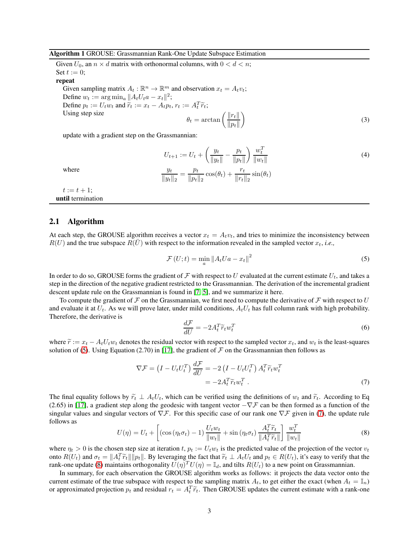#### <span id="page-2-0"></span>Algorithm 1 GROUSE: Grassmannian Rank-One Update Subspace Estimation

Given  $U_0$ , an  $n \times d$  matrix with orthonormal columns, with  $0 < d < n$ ; Set  $t := 0$ ; repeat Given sampling matrix  $A_t : \mathbb{R}^n \to \mathbb{R}^m$  and observation  $x_t = A_t v_t$ ; Define  $w_t := \arg \min_a \| A_t U_t a - x_t \|^2;$ Define  $p_t := U_t w_t$  and  $\tilde{r}_t := x_t - A_t p_t$ ,  $r_t := A_t^T \tilde{r}_t$ ; Using step size  $\theta_t = \arctan\left(\frac{\|r_t\|}{\|r_t\|}\right)$  $||p_t||$  $\overline{\phantom{0}}$ 

update with a gradient step on the Grassmannian:

<span id="page-2-5"></span><span id="page-2-4"></span>
$$
U_{t+1} := U_t + \left(\frac{y_t}{\|y_t\|} - \frac{p_t}{\|p_t\|}\right) \frac{w_t^T}{\|w_t\|}
$$
  

$$
\frac{y_t}{\|y_t\|_2} = \frac{p_t}{\|p_t\|_2} \cos(\theta_t) + \frac{r_t}{\|r_t\|_2} \sin(\theta_t)
$$
 (4)

(3)

where

 $t := t + 1;$ until termination

#### 2.1 Algorithm

At each step, the GROUSE algorithm receives a vector  $x_t = A_t v_t$ , and tries to minimize the inconsistency between  $R(U)$  and the true subspace  $R(U)$  with respect to the information revealed in the sampled vector  $x_t$ , *i.e.*,

<span id="page-2-1"></span>
$$
\mathcal{F}\left(U;t\right) = \min_{a} \left\|A_t U a - x_t\right\|^2\tag{5}
$$

In order to do so, GROUSE forms the gradient of F with respect to U evaluated at the current estimate  $U_t$ , and takes a step in the direction of the negative gradient restricted to the Grassmannian. The derivation of the incremental gradient descent update rule on the Grassmannian is found in [\[7,](#page-29-7) [5\]](#page-29-8), and we summarize it here.

To compute the gradient of  $\mathcal F$  on the Grassmannian, we first need to compute the derivative of  $\mathcal F$  with respect to U and evaluate it at  $U_t$ . As we will prove later, under mild conditions,  $A_tU_t$  has full column rank with high probability. Therefore, the derivative is

<span id="page-2-2"></span>
$$
\frac{d\mathcal{F}}{dU} = -2A_t^T \widetilde{r}_t w_t^T \tag{6}
$$

where  $\tilde{r} := x_t - A_t U_t w_t$  denotes the residual vector with respect to the sampled vector  $x_t$ , and  $w_t$  is the least-squares solution of [\(5\)](#page-2-1). Using Equation (2.70) in [\[17\]](#page-30-9), the gradient of  $\mathcal F$  on the Grassmannian then follows as

$$
\nabla \mathcal{F} = \left( I - U_t U_t^T \right) \frac{d\mathcal{F}}{dU} = -2 \left( I - U_t U_t^T \right) A_t^T \tilde{r}_t w_t^T
$$

$$
= -2 A_t^T \tilde{r}_t w_t^T . \tag{7}
$$

The final equality follows by  $\tilde{r}_t \perp A_t U_t$ , which can be verified using the definitions of  $w_t$  and  $\tilde{r}_t$ . According to Eq (2.65) in [\[17\]](#page-30-9), a gradient step along the geodesic with tangent vector  $-\nabla \mathcal{F}$  can be then formed as a function of the singular values and singular vectors of  $\nabla$ F. For this specific case of our rank one  $\nabla$ F given in [\(7\)](#page-2-2), the update rule follows as

<span id="page-2-3"></span>
$$
U(\eta) = U_t + \left[ (\cos(\eta_t \sigma_t) - 1) \frac{U_t w_t}{\|w_t\|} + \sin(\eta_t \sigma_t) \frac{A_t^T \tilde{r}_t}{\|A_t^T \tilde{r}_t\|} \right] \frac{w_t^T}{\|w_t\|}
$$
(8)

where  $\eta_t > 0$  is the chosen step size at iteration t,  $p_t := U_t w_t$  is the predicted value of the projection of the vector  $v_t$ onto  $R(U_t)$  and  $\sigma_t = ||A_t^T \widetilde{r}_t|| ||p_t||$ . By leveraging the fact that  $\widetilde{r}_t \perp A_t U_t$  and  $p_t \in R(U_t)$ , it's easy to verify that the rank-one update [\(8\)](#page-2-3) maintains orthogonality  $U(\eta)^T U(\eta) = \mathbb{I}_d$ , and tilts  $R(U_t)$  to a new point on Grassmannian.

In summary, for each observation the GROUSE algorithm works as follows: it projects the data vector onto the current estimate of the true subspace with respect to the sampling matrix  $A_t$ , to get either the exact (when  $A_t = \mathbb{I}_n$ ) or approximated projection  $p_t$  and residual  $r_t = A_t^T \tilde{r}_t$ . Then GROUSE updates the current estimate with a rank-one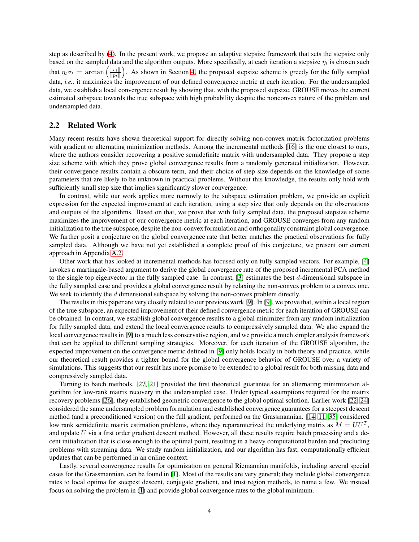step as described by [\(4\)](#page-2-4). In the present work, we propose an adaptive stepsize framework that sets the stepsize only based on the sampled data and the algorithm outputs. More specifically, at each iteration a stepsize  $\eta_t$  is chosen such that  $\eta_t \sigma_t = \arctan \left( \frac{\|r_t\|}{\|p_t\|} \right)$  $\|p_t\|$ ). As shown in Section [4,](#page-5-0) the proposed stepsize scheme is greedy for the fully sampled data, *i.e.,* it maximizes the improvement of our defined convergence metric at each iteration. For the undersampled data, we establish a local convergence result by showing that, with the proposed stepsize, GROUSE moves the current estimated subspace towards the true subspace with high probability despite the nonconvex nature of the problem and undersampled data.

#### 2.2 Related Work

Many recent results have shown theoretical support for directly solving non-convex matrix factorization problems with gradient or alternating minimization methods. Among the incremental methods [\[16\]](#page-30-2) is the one closest to ours, where the authors consider recovering a positive semidefinite matrix with undersampled data. They propose a step size scheme with which they prove global convergence results from a randomly generated initialization. However, their convergence results contain a obscure term, and their choice of step size depends on the knowledge of some parameters that are likely to be unknown in practical problems. Without this knowledge, the results only hold with sufficiently small step size that implies significantly slower convergence.

In contrast, while our work applies more narrowly to the subspace estimation problem, we provide an explicit expression for the expected improvement at each iteration, using a step size that only depends on the observations and outputs of the algorithms. Based on that, we prove that with fully sampled data, the proposed stepsize scheme maximizes the improvement of our convergence metric at each iteration, and GROUSE converges from any random initialization to the true subspace, despite the non-convex formulation and orthogonality constraint global convergence. We further posit a conjecture on the global convergence rate that better matches the practical observations for fully sampled data. Although we have not yet established a complete proof of this conjecture, we present our current approach in Appendix [A.2.](#page-15-0)

Other work that has looked at incremental methods has focused only on fully sampled vectors. For example, [\[4\]](#page-29-9) invokes a martingale-based argument to derive the global convergence rate of the proposed incremental PCA method to the single top eigenvector in the fully sampled case. In contrast, [\[3\]](#page-29-10) estimates the best d-dimensional subspace in the fully sampled case and provides a global convergence result by relaxing the non-convex problem to a convex one. We seek to identify the  $d$  dimensional subspace by solving the non-convex problem directly.

The results in this paper are very closely related to our previous work [\[9\]](#page-29-11). In [\[9\]](#page-29-11), we prove that, within a local region of the true subspace, an expected improvement of their defined convergence metric for each iteration of GROUSE can be obtained. In contrast, we establish global convergence results to a global minimizer from any random initialization for fully sampled data, and extend the local convergence results to compressively sampled data. We also expand the local convergence results in [\[9\]](#page-29-11) to a much less conservative region, and we provide a much simpler analysis framework that can be applied to different sampling strategies. Moreover, for each iteration of the GROUSE algorithm, the expected improvement on the convergence metric defined in [\[9\]](#page-29-11) only holds locally in both theory and practice, while our theoretical result provides a tighter bound for the global convergence behavior of GROUSE over a variety of simulations. This suggests that our result has more promise to be extended to a global result for both missing data and compressively sampled data.

Turning to batch methods, [\[27,](#page-30-10) [21\]](#page-30-4) provided the first theoretical guarantee for an alternating minimization algorithm for low-rank matrix recovery in the undersampled case. Under typical assumptions required for the matrix recovery problems [\[26\]](#page-30-11), they established geometric convergence to the global optimal solution. Earlier work [\[22,](#page-30-12) [24\]](#page-30-13) considered the same undersampled problem formulation and established convergence guarantees for a steepest descent method (and a preconditioned version) on the full gradient, performed on the Grassmannian. [\[14,](#page-29-3) [11,](#page-29-2) [35\]](#page-30-5) considered low rank semidefinite matrix estimation problems, where they reparamterized the underlying matrix as  $M = U U^T$ , and update U via a first order gradient descent method. However, all these results require batch processing and a decent initialization that is close enough to the optimal point, resulting in a heavy computational burden and precluding problems with streaming data. We study random initialization, and our algorithm has fast, computationally efficient updates that can be performed in an online context.

Lastly, several convergence results for optimization on general Riemannian manifolds, including several special cases for the Grassmannian, can be found in [\[1\]](#page-29-12). Most of the results are very general; they include global convergence rates to local optima for steepest descent, conjugate gradient, and trust region methods, to name a few. We instead focus on solving the problem in [\(1\)](#page-1-1) and provide global convergence rates to the global minimum.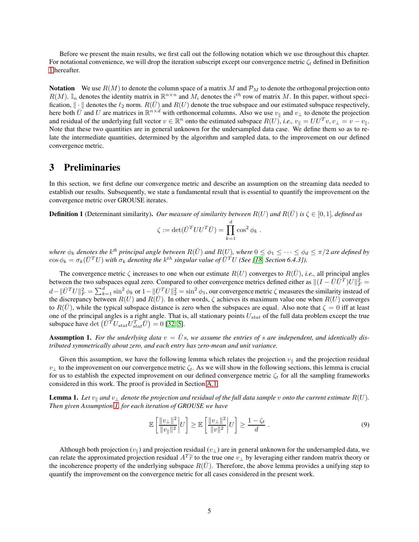Before we present the main results, we first call out the following notation which we use throughout this chapter. For notational convenience, we will drop the iteration subscript except our convergence metric  $\zeta_t$  defined in Definition [1](#page-4-0) hereafter.

**Notation** We use  $R(M)$  to denote the column space of a matrix M and  $P_M$  to denote the orthogonal projection onto  $R(M)$ . I<sub>n</sub> denotes the identity matrix in  $\mathbb{R}^{n \times n}$  and  $M_i$  denotes the  $i^{th}$  row of matrix M. In this paper, without specification,  $\|\cdot\|$  denotes the  $\ell_2$  norm.  $R(\bar{U})$  and  $R(U)$  denote the true subspace and our estimated subspace respectively, here both  $\bar{U}$  and U are matrices in  $\mathbb{R}^{n \times d}$  with orthonormal columns. Also we use  $v_{\parallel}$  and  $v_{\perp}$  to denote the projection and residual of the underlying full vector  $v \in \mathbb{R}^n$  onto the estimated subspace  $R(U)$ , *i.e.*,  $v_{\parallel} = U U^T v$ ,  $v_{\perp} = v - v_{\parallel}$ . Note that these two quantities are in general unknown for the undersampled data case. We define them so as to relate the intermediate quantities, determined by the algorithm and sampled data, to the improvement on our defined convergence metric.

# 3 Preliminaries

In this section, we first define our convergence metric and describe an assumption on the streaming data needed to establish our results. Subsequently, we state a fundamental result that is essential to quantify the improvement on the convergence metric over GROUSE iterates.

**Definition 1** (Determinant similarity). *Our measure of similarity between*  $R(U)$  *and*  $R(\bar{U})$  *is*  $\zeta \in [0,1]$ *, defined as* 

$$
\zeta := \det(\bar{U}^T U U^T \bar{U}) = \prod_{k=1}^d \cos^2 \phi_k.
$$

 $\mathcal{W}$  *where*  $\phi_k$  *denotes the*  $k^{th}$  *principal angle between*  $R(\bar{U})$  *and*  $R(U)$ *, where*  $0 \leq \phi_1 \leq \cdots \leq \phi_d \leq \pi/2$  *are defined by*  $\cos \phi_k = \sigma_k (\bar{U}^T U)$  with  $\sigma_k$  denoting the  $k^{th}$  singular value of  $\bar{U}^T U$  (See [\[18,](#page-30-1) Section 6.4.3]).

The convergence metric  $\zeta$  increases to one when our estimate  $R(U)$  converges to  $R(\bar{U})$ , *i.e.*, all principal angles between the two subspaces equal zero. Compared to other convergence metrics defined either as  $||(I - \bar{U}\bar{U}^T)U||_F^2$  $d - ||\bar{U}^T U||_F^2 = \sum_{k=1}^d \sin^2 \phi_k$  or  $1 - ||\bar{U}^T U||_2^2 = \sin^2 \phi_1$ , our convergence metric  $\zeta$  measures the similarity instead of the discrepancy between  $R(U)$  and  $R(\overline{U})$ . In other words,  $\zeta$  achieves its maximum value one when  $R(U)$  converges to  $R(U)$ , while the typical subspace distance is zero when the subspaces are equal. Also note that  $\zeta = 0$  iff at least one of the principal angles is a right angle. That is, all stationary points  $U_{stat}$  of the full data problem except the true subspace have det  $(\bar{U}^{\bar{T}}U_{stat}U_{stat}^T\bar{U}) = 0$  [\[32,](#page-30-14) [5\]](#page-29-8).

<span id="page-4-1"></span>**Assumption 1.** For the underlying data  $v = \overline{U}s$ , we assume the entries of s are independent, and identically dis*tributed symmetrically about zero, and each entry has zero-mean and unit variance.*

Given this assumption, we have the following lemma which relates the projection  $v_{\parallel}$  and the projection residual  $v_{\perp}$  to the improvement on our convergence metric  $\zeta_t$ . As we will show in the following sections, this lemma is crucial for us to establish the expected improvement on our defined convergence metric  $\zeta_t$  for all the sampling frameworks considered in this work. The proof is provided in Section [A.1.](#page-14-0)

**Lemma 1.** Let  $v_{\parallel}$  and  $v_{\perp}$  denote the projection and residual of the full data sample v onto the current estimate  $R(U)$ . *Then given Assumption [1,](#page-4-1) for each iteration of GROUSE we have*

<span id="page-4-0"></span>
$$
\mathbb{E}\left[\frac{\|v_{\perp}\|^2}{\|v_{\parallel}\|^2}\bigg|U\right] \ge \mathbb{E}\left[\frac{\|v_{\perp}\|^2}{\|v\|^2}\bigg|U\right] \ge \frac{1-\zeta_t}{d} \,. \tag{9}
$$

Although both projection  $(v_{\parallel})$  and projection residual  $(v_{\perp})$  are in general unknown for the undersampled data, we can relate the approximated projection residual  $A^T \tilde{r}$  to the true one  $v_{\perp}$  by leveraging either random matrix theory or<br>the incoherence approximated the underlying subgroup  $P(\vec{U})$ . Therefore, the chase lawnes the incoherence property of the underlying subspace  $R(\bar{U})$ . Therefore, the above lemma provides a unifying step to quantify the improvement on the convergence metric for all cases considered in the present work.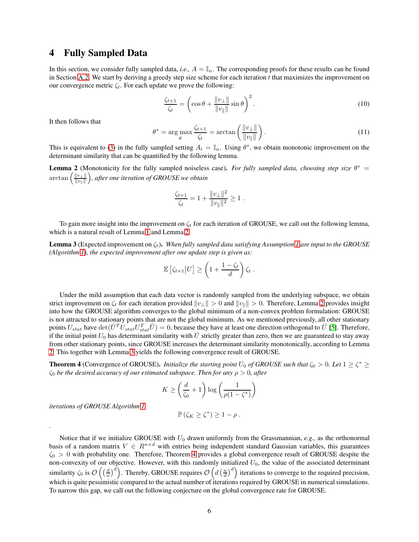## <span id="page-5-0"></span>4 Fully Sampled Data

In this section, we consider fully sampled data, *i.e.*,  $A = \mathbb{I}_n$ . The corresponding proofs for these results can be found in Section [A.2.](#page-15-0) We start by deriving a greedy step size scheme for each iteration  $t$  that maximizes the improvement on our convergence metric  $\zeta_t$ . For each update we prove the following:

<span id="page-5-1"></span>
$$
\frac{\zeta_{t+1}}{\zeta_t} = \left(\cos\theta + \frac{\|v_\perp\|}{\|v_\parallel\|} \sin\theta\right)^2.
$$
\n(10)

It then follows that

<span id="page-5-2"></span>
$$
\theta^* = \arg \max_{\theta} \frac{\zeta_{t+1}}{\zeta_t} = \arctan\left(\frac{\|v_\perp\|}{\|v_\parallel\|}\right). \tag{11}
$$

This is equivalent to [\(3\)](#page-2-5) in the fully sampled setting  $A_t = \mathbb{I}_n$ . Using  $\theta^*$ , we obtain monotonic improvement on the determinant similarity that can be quantified by the following lemma.

**Lemma 2** (Monotonicity for the fully sampled noiseless case). *For fully sampled data, choosing step size*  $\theta^* =$  $\arctan\left(\frac{\|v_\perp\|}{\|v_\perp\|}\right)$  $\|v_\parallel\|$ *, after one iteration of GROUSE we obtain*

$$
\frac{\zeta_{t+1}}{\zeta_t} = 1 + \frac{\|v_\perp\|^2}{\|v_\parallel\|^2} \ge 1.
$$

To gain more insight into the improvement on  $\zeta_t$  for each iteration of GROUSE, we call out the following lemma, which is a natural result of Lemma [1](#page-4-0) and Lemma [2.](#page-6-1)

**Lemma 3** (Expected improvement on  $\zeta_t$ ). When fully sampled data satisfying Assumption [1](#page-4-1) are input to the GROUSE *(Algorithm [1\)](#page-2-0), the expected improvement after one update step is given as:*

$$
\mathbb{E}\left[\zeta_{t+1}\big|U\right] \ge \left(1 + \frac{1-\zeta_t}{d}\right)\zeta_t.
$$

Under the mild assumption that each data vector is randomly sampled from the underlying subspace, we obtain strict improvement on  $\zeta_t$  for each iteration provided  $||v_\perp|| > 0$  and  $||v_\parallel|| > 0$ . Therefore, Lemma [2](#page-6-1) provides insight into how the GROUSE algorithm converges to the global minimum of a non-convex problem formulation: GROUSE is not attracted to stationary points that are not the global minimum. As we mentioned previously, all other stationary points  $U_{stat}$  have  $\det(\bar{U}^T U_{stat} U_{stat}^T \bar{U}) = 0$ , because they have at least one direction orthogonal to  $\bar{U}$  [\[5\]](#page-29-8). Therefore, if the initial point  $U_0$  has determinant similarity with U strictly greater than zero, then we are guaranteed to stay away from other stationary points, since GROUSE increases the determinant similarity monotonically, according to Lemma [2.](#page-6-1) This together with Lemma [3](#page-6-1) yields the following convergence result of GROUSE.

**Theorem 4** (Convergence of GROUSE). *Initialize the starting point*  $U_0$  *of GROUSE such that*  $\zeta_0 > 0$ . Let  $1 \ge \zeta^* \ge$  $\zeta_0$  *be the desired accuracy of our estimated subspace. Then for any*  $\rho > 0$ *, after* 

$$
K \ge \left(\frac{d}{\zeta_0} + 1\right) \log \left(\frac{1}{\rho(1 - \zeta^*)}\right)
$$

*iterations of GROUSE Algorithm [1,](#page-2-0)*

*.*

$$
\mathbb{P}\left(\zeta_K \geq \zeta^*\right) \geq 1 - \rho.
$$

Notice that if we initialize GROUSE with  $U_0$  drawn uniformly from the Grassmannian,  $e.g.,$  as the orthonormal basis of a random matrix  $V \in R^{n \times d}$  with entries being independent standard Gaussian variables, this guarantees  $\zeta_0 > 0$  with probability one. Therefore, Theorem [4](#page-6-1) provides a global convergence result of GROUSE despite the non-convexity of our objective. However, with this randomly initialized  $U_0$ , the value of the associated determinant similarity  $\zeta_0$  is  $\mathcal{O}\left(\left(\frac{d}{n}\right)^d\right)$ . Thereby, GROUSE requires  $\mathcal{O}\left(d\left(\frac{n}{d}\right)^d\right)$  iterations to converge to the required precision, which is quite pessimistic compared to the actual number of iterations required by GROUSE in numerical simulations. To narrow this gap, we call out the following conjecture on the global convergence rate for GROUSE.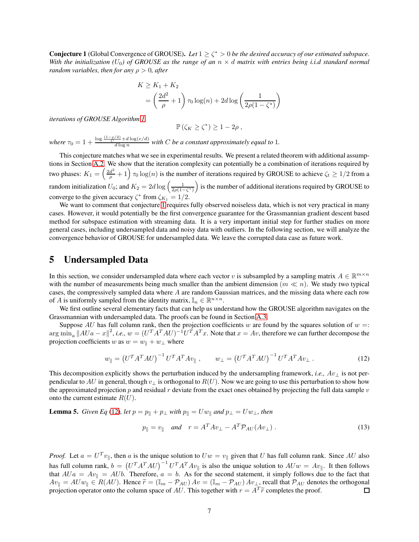**Conjecture 1** (Global Convergence of GROUSE). Let  $1 \ge \zeta^* > 0$  be the desired accuracy of our estimated subspace. *With the initialization* ( $U_0$ ) of GROUSE as the range of an  $n \times d$  matrix with entries being i.i.d standard normal *random variables, then for any* ρ > 0*, after*

$$
K \ge K_1 + K_2
$$
  
=  $\left(\frac{2d^2}{\rho} + 1\right) \tau_0 \log(n) + 2d \log\left(\frac{1}{2\rho(1 - \zeta^*)}\right)$ 

*iterations of GROUSE Algorithm [1,](#page-2-0)*

<span id="page-6-1"></span>
$$
\mathbb{P}\left(\zeta_K \geq \zeta^*\right) \geq 1 - 2\rho \;,
$$

where  $\tau_0 = 1 + \frac{\log \frac{(1-\rho/2)}{C} + d \log(e/d)}{d \log n}$  with *C* be a constant approximately equal to 1.

This conjecture matches what we see in experimental results. We present a related theorem with additional assumptions in Section [A.2.](#page-15-0) We show that the iteration complexity can potentially be a combination of iterations required by two phases:  $K_1 = \left(\frac{2d^2}{\rho} + 1\right) \tau_0 \log(n)$  is the number of iterations required by GROUSE to achieve  $\zeta_t \ge 1/2$  from a random initialization  $U_0$ ; and  $K_2 = 2d \log \left( \frac{1}{2\rho(1-\zeta^*)} \right)$ ) is the number of additional iterations required by GROUSE to converge to the given accuracy  $\zeta^*$  from  $\zeta_{K_1} = 1/2$ .

We want to comment that conjecture [1](#page-6-1) requires fully observed noiseless data, which is not very practical in many cases. However, it would potentially be the first convergence guarantee for the Grassmannian gradient descent based method for subspace estimation with streaming data. It is a very important initial step for further studies on more general cases, including undersampled data and noisy data with outliers. In the following section, we will analyze the convergence behavior of GROUSE for undersampled data. We leave the corrupted data case as future work.

## <span id="page-6-0"></span>5 Undersampled Data

In this section, we consider undersampled data where each vector v is subsampled by a sampling matrix  $A \in \mathbb{R}^{m \times n}$ with the number of measurements being much smaller than the ambient dimension ( $m \ll n$ ). We study two typical cases, the compressively sampled data where A are random Gaussian matrices, and the missing data where each row of A is uniformly sampled from the identity matrix,  $\mathbb{I}_n \in \mathbb{R}^{n \times n}$ .

We first outline several elementary facts that can help us understand how the GROUSE algorithm navigates on the Grassmannian with undersampled data. The proofs can be found in Section [A.3.](#page-18-0)

Suppose AU has full column rank, then the projection coefficients w are found by the squares solution of  $w =$ :  $\lim_{a} ||AUa - x||^2$ , *i.e.*,  $w = (U^T A^T A U)^{-1} U^T A^T x$ . Note that  $x = Av$ , therefore we can further decompose the projection coefficients w as  $w = w_{\parallel} + w_{\perp}$  where

<span id="page-6-2"></span>
$$
w_{\parallel} = \left(U^T A^T A U\right)^{-1} U^T A^T A v_{\parallel} , \qquad w_{\perp} = \left(U^T A^T A U\right)^{-1} U^T A^T A v_{\perp} . \tag{12}
$$

This decomposition explicitly shows the perturbation induced by the undersampling framework, *i.e.*,  $Av_{\perp}$  is not perpendicular to AU in general, though  $v_{\perp}$  is orthogonal to  $R(U)$ . Now we are going to use this perturbation to show how the approximated projection p and residual r deviate from the exact ones obtained by projecting the full data sample v onto the current estimate  $R(U)$ .

**Lemma 5.** *Given Eq* [\(12\)](#page-6-2)*, let*  $p = p_{\parallel} + p_{\perp}$  *with*  $p_{\parallel} = Uw_{\parallel}$  *and*  $p_{\perp} = Uw_{\perp}$ *, then* 

<span id="page-6-3"></span>
$$
p_{\parallel} = v_{\parallel} \quad \text{and} \quad r = A^T A v_{\perp} - A^T \mathcal{P}_{AU}(A v_{\perp}). \tag{13}
$$

*Proof.* Let  $a = U^T v_{\parallel}$ , then a is the unique solution to  $Uw = v_{\parallel}$  given that U has full column rank. Since AU also has full column rank,  $b = (U^T A^T A U)^{-1} U^T A^T A v_{\parallel}$  is also the unique solution to  $A U w = A v_{\parallel}$ . It then follows that  $AUA = Av_{\parallel} = AUb$ . Therefore,  $a = b$ . As for the second statement, it simply follows due to the fact that  $Av_{\parallel} = AUw_{\parallel} \in R(AU)$ . Hence  $\tilde{r} = (\mathbb{I}_m - \mathcal{P}_{AU}) Av = (\mathbb{I}_m - \mathcal{P}_{AU}) Av_{\perp}$ , recall that  $\mathcal{P}_{AU}$  denotes the orthogonal projection operator onto the column space of AU. This together with  $r = A^T \tilde{r}$  completes the projection operator onto the column space of AU. This together with  $r = A^T \tilde{r}$  completes the proof.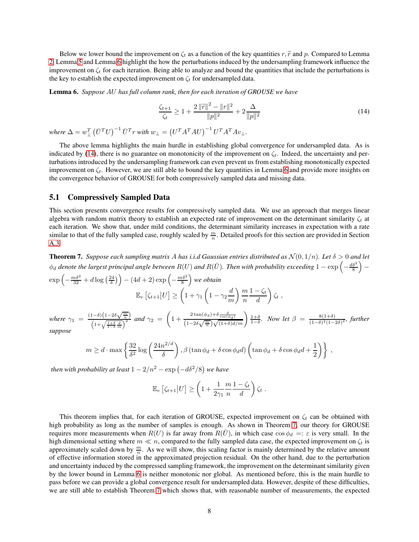Below we lower bound the improvement on  $\zeta_t$  as a function of the key quantities r,  $\tilde{r}$  and p. Compared to Lemma [2,](#page-6-1) Lemma [5](#page-6-3) and Lemma [6](#page-7-0) highlight the how the perturbations induced by the undersampling framework influence the improvement on  $\zeta_t$  for each iteration. Being able to analyze and bound the quantities that include the perturbations is the key to establish the expected improvement on  $\zeta_t$  for undersampled data.

Lemma 6. *Suppose* AU *has full column rank, then for each iteration of GROUSE we have*

<span id="page-7-0"></span>
$$
\frac{\zeta_{t+1}}{\zeta_t} \ge 1 + \frac{2\|\widetilde{r}\|^2 - \|r\|^2}{\|p\|^2} + 2\frac{\Delta}{\|p\|^2} \tag{14}
$$

*where*  $\Delta = w_{\perp}^T$  $\left(\bar{U}^T U\right)^{-1} \bar{U}^T r$  with  $w_\perp = \left(U^T A^T A U\right)^{-1} U^T A^T A v_\perp$ .

The above lemma highlights the main hurdle in establishing global convergence for undersampled data. As is indicated by [\(14\)](#page-7-0), there is no guarantee on monotonicity of the improvement on  $\zeta_t$ . Indeed, the uncertainty and perturbations introduced by the undersampling framework can even prevent us from establishing monotonically expected improvement on  $\zeta_t$ . However, we are still able to bound the key quantities in Lemma [6](#page-7-0) and provide more insights on the convergence behavior of GROUSE for both compressively sampled data and missing data.

#### <span id="page-7-1"></span>5.1 Compressively Sampled Data

This section presents convergence results for compressively sampled data. We use an approach that merges linear algebra with random matrix theory to establish an expected rate of improvement on the determinant similarity  $\zeta_t$  at each iteration. We show that, under mild conditions, the determinant similarity increases in expectation with a rate similar to that of the fully sampled case, roughly scaled by  $\frac{m}{n}$ . Detailed proofs for this section are provided in Section [A.3.](#page-18-0)

**Theorem 7.** *Suppose each sampling matrix* A has *i.i.d Gaussian entries distributed as*  $\mathcal{N}(0, 1/n)$ *. Let*  $\delta > 0$  *and let*  $\phi_d$  denote the largest principal angle between  $R(U)$  and  $R(\bar{U})$ . Then with probability exceeding  $1 - \exp\left(-\frac{d\delta^2}{8}\right)$  $\overline{ }$ −

$$
\exp\left(-\frac{m\delta^2}{32} + d\log\left(\frac{24}{\delta}\right)\right) - (4d+2)\exp\left(-\frac{m\delta^2}{8}\right) \text{ we obtain}
$$

$$
\mathbb{E}_v\left[\zeta_{t+1}|U\right] \ge \left(1 + \gamma_1\left(1 - \gamma_2\frac{d}{m}\right)\frac{m}{n}\frac{1 - \zeta_t}{d}\right)\zeta_t,
$$

*where*  $\gamma_1 = \frac{(1-\delta)\left(1-2\delta\sqrt{\frac{m}{n}}\right)}{\left(1+\sqrt{\frac{1+\delta}{1-\delta}}\frac{d}{m}\right)^2}$  *and*  $\gamma_2 =$  $\sqrt{ }$  $1 + \frac{2\tan(\phi_d) + \delta \frac{d}{\cos(\phi_d)}}{(1 - 2\delta\sqrt{\frac{m}{n}})\sqrt{(1 + \delta)d/m}}\bigg) \frac{1 + \delta}{1 - \delta}$ . Now let  $\beta = \frac{8(1 + \delta)}{(1 - \delta)^2(1 - \delta)}$  $\frac{8(1+0)}{(1-δ)^2(1-2δ)^2}$ , further *suppose*

$$
m \ge d \cdot \max\left\{\frac{32}{\delta^2}\log\left(\frac{24n^{2/d}}{\delta}\right), \beta\left(\tan\phi_d + \delta\cos\phi_d d\right)\left(\tan\phi_d + \delta\cos\phi_d d + \frac{1}{2}\right)\right\},\,
$$

*then with probability at least*  $1 - 2/n^2 - \exp(-d\delta^2/8)$  *we have* 

$$
\mathbb{E}_v \left[ \zeta_{t+1} \middle| U \right] \ge \left( 1 + \frac{1}{2\gamma_1} \frac{m}{n} \frac{1 - \zeta_t}{d} \right) \zeta_t.
$$

This theorem implies that, for each iteration of GROUSE, expected improvement on  $\zeta_t$  can be obtained with high probability as long as the number of samples is enough. As shown in Theorem [7,](#page-8-0) our theory for GROUSE requires more measurements when  $R(U)$  is far away from  $R(U)$ , in which case cos  $\phi_d =: \varepsilon$  is very small. In the high dimensional setting where  $m \ll n$ , compared to the fully sampled data case, the expected improvement on  $\zeta_t$  is approximately scaled down by  $\frac{m}{n}$ . As we will show, this scaling factor is mainly determined by the relative amount of effective information stored in the approximated projection residual. On the other hand, due to the perturbation and uncertainty induced by the compressed sampling framework, the improvement on the determinant similarity given by the lower bound in Lemma [6](#page-7-0) is neither monotonic nor global. As mentioned before, this is the main hurdle to pass before we can provide a global convergence result for undersampled data. However, despite of these difficulties, we are still able to establish Theorem [7](#page-8-0) which shows that, with reasonable number of measurements, the expected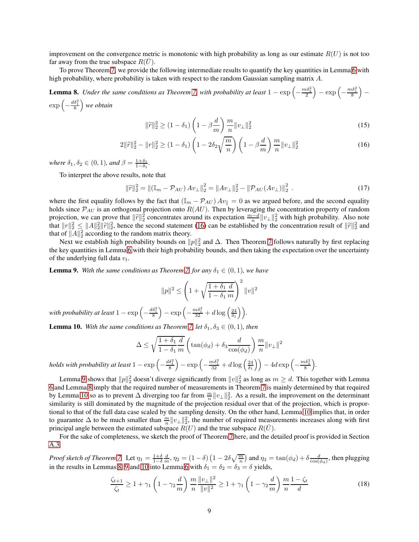improvement on the convergence metric is monotonic with high probability as long as our estimate  $R(U)$  is not too far away from the true subspace  $R(\bar{U})$ .

To prove Theorem [7,](#page-8-0) we provide the following intermediate results to quantify the key quantities in Lemma [6](#page-7-0) with high probability, where probability is taken with respect to the random Gaussian sampling matrix A.

**Lemma 8.** *Under the same conditions as Theorem [7,](#page-8-0) with probability at least*  $1 - \exp\left(-\frac{m\delta_2^2}{2}\right)$  $= \exp\left(-\frac{m\delta_1^2}{8}\right)$  $\overline{ }$ −  $\exp\left(-\frac{d\delta_1^2}{8}\right)$ *we obtain*

<span id="page-8-1"></span><span id="page-8-0"></span>
$$
\|\widetilde{r}\|_2^2 \ge (1 - \delta_1) \left(1 - \beta \frac{d}{m}\right) \frac{m}{n} \|v_\perp\|_2^2 \tag{15}
$$

$$
2\|\tilde{r}\|_{2}^{2} - \|r\|_{2}^{2} \ge (1 - \delta_{1})\left(1 - 2\delta_{2}\sqrt{\frac{m}{n}}\right)\left(1 - \beta\frac{d}{m}\right)\frac{m}{n}\|v_{\perp}\|_{2}^{2} \tag{16}
$$

*where*  $\delta_1, \delta_2 \in (0, 1)$ *, and*  $\beta = \frac{1+\delta_1}{1-\delta_1}$ *.* 

To interpret the above results, note that

$$
\|\tilde{r}\|_2^2 = \|(\mathbb{I}_m - \mathcal{P}_{AU})Av_{\perp}\|_2^2 = \|Av_{\perp}\|_2^2 - \|\mathcal{P}_{AU}(Av_{\perp})\|_2^2.
$$
 (17)

where the first equality follows by the fact that ( $\mathbb{I}_m - \mathcal{P}_{AU}$ )  $Av_{\parallel} = 0$  as we argued before, and the second equality holds since  $\mathcal{P}_{AU}$  is an orthogonal projection onto  $R(AU)$ . Then by leveraging the concentration property of random projection, we can prove that  $\|\tilde{r}\|_2^2$  concentrates around its expectation  $\frac{m-d}{n}\|v_\perp\|_2^2$  with high probability. Also note that  $||r||_2^2 \le ||A||_2^2 ||\tilde{r}||_2^2$ , hence the second statement [\(16\)](#page-8-1) can be established by the concentration result of  $||\tilde{r}||_2^2$  and that of  $||A||_2^2$  according to the random matrix theory.

Next we establish high probability bounds on  $||p||_2^2$  and  $\Delta$ . Then Theorem [7](#page-8-0) follows naturally by first replacing the key quantities in Lemma [6](#page-7-0) with their high probability bounds, and then taking the expectation over the uncertainty of the underlying full data  $v_t$ .

**Lemma 9.** With the same conditions as Theorem [7,](#page-8-0) for any  $\delta_1 \in (0,1)$ , we have

$$
||p||^2 \le \left(1 + \sqrt{\frac{1 + \delta_1}{1 - \delta_1}} \frac{d}{m}\right)^2 ||v||^2
$$

with probability at least  $1 - \exp \left( - \frac{d \delta_1^2}{8} \right)$  $\Big) - \exp\Big(-\frac{m\delta_1^2}{32} + d\log\Big(\frac{24}{\delta_1}\Big)\Big).$ 

**Lemma 10.** With the same conditions as Theorem [7,](#page-8-0) let  $\delta_1, \delta_3 \in (0,1)$ , then

$$
\Delta \le \sqrt{\frac{1+\delta_1}{1-\delta_1}} \frac{d}{m} \left( \tan(\phi_d) + \delta_3 \frac{d}{\cos(\phi_d)} \right) \frac{m}{n} ||v_\perp||^2
$$

holds with probability at least  $1-\exp\left(-\frac{d\delta_1^2}{8}\right)$  $\Big)-\exp\Big(-\tfrac{m\delta_1^2}{32}+d\log\Big(\tfrac{24}{\delta_1}\Big)\Big)-4d\exp\Big(-\tfrac{m\delta_3^2}{8}\Big)$ *.*

Lemma [9](#page-8-2) shows that  $||p||_2^2$  doesn't diverge significantly from  $||v||_2^2$  as long as  $m \ge d$ . This together with Lemma [6](#page-7-0) and Lemma [8](#page-8-1) imply that the required number of measurements in Theorem [7](#page-8-0) is mainly determined by that required by Lemma [10](#page-8-2) so as to prevent  $\Delta$  diverging too far from  $\frac{m}{n} ||v_\perp||_2^2$ . As a result, the improvement on the determinant similarity is still dominated by the magnitude of the projection residual over that of the projection, which is proportional to that of the full data case scaled by the sampling density. On the other hand, Lemma [10](#page-8-2) implies that, in order to guarantee  $\Delta$  to be much smaller than  $\frac{m}{n} ||v_\perp||_2^2$ , the number of required measurements increases along with first principal angle between the estimated subspace  $R(U)$  and the true subspace  $R(\bar{U})$ .

For the sake of completeness, we sketch the proof of Theorem [7](#page-8-0) here, and the detailed proof is provided in Section [A.3.](#page-18-0)

*Proof sketch of Theorem [7.](#page-8-0)* Let  $\eta_1 = \frac{1+\delta}{1-\delta} \frac{d}{m}$ ,  $\eta_2 = (1-\delta) \left(1 - 2\delta \sqrt{\frac{m}{n}}\right)$  and  $\eta_3 = \tan(\phi_d) + \delta \frac{d}{\cos(\phi_d)}$ , then plugging in the results in Lemmas [8,](#page-8-1) [9](#page-8-2) and [10](#page-8-2) into Lemma [6](#page-7-0) with  $\delta_1 = \delta_2 = \delta_3 = \delta$  yields,

<span id="page-8-2"></span>
$$
\frac{\zeta_{t+1}}{\zeta_t} \ge 1 + \gamma_1 \left( 1 - \gamma_2 \frac{d}{m} \right) \frac{m}{n} \frac{\|v_\perp\|^2}{\|v\|^2} \ge 1 + \gamma_1 \left( 1 - \gamma_2 \frac{d}{m} \right) \frac{m}{n} \frac{1 - \zeta_t}{d} \tag{18}
$$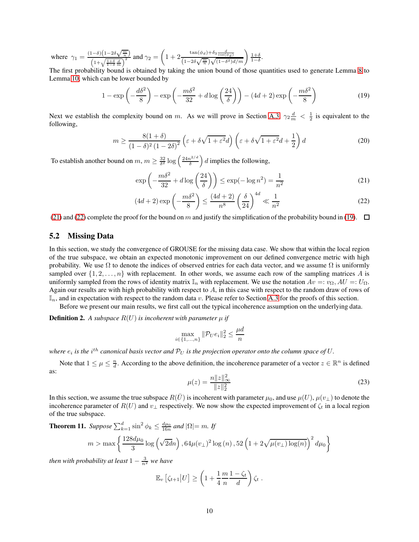where  $\gamma_1 = \frac{(1-\delta)\left(1-2\delta\sqrt{\frac{m}{n}}\right)}{\left(1+\sqrt{\frac{1+\delta}{1-\delta}\frac{d}{m}}\right)^2}$  and  $\gamma_2 =$  $\sqrt{ }$  $1 + 2 \frac{\tan(\phi_d) + \delta_3 \frac{d}{\cos(\phi_d)}}{(1 - 2\delta\sqrt{\frac{m}{n}})\sqrt{(1 - \delta^2)d/m}}\right) \frac{1 + \delta}{1 - \delta}.$ 

The first probability bound is obtained by taking the union bound of those quantities used to generate Lemma [8](#page-8-1) to Lemma [10,](#page-8-2) which can be lower bounded by

$$
1 - \exp\left(-\frac{d\delta^2}{8}\right) - \exp\left(-\frac{m\delta^2}{32} + d\log\left(\frac{24}{\delta}\right)\right) - (4d+2)\exp\left(-\frac{m\delta^2}{8}\right) \tag{19}
$$

Next we establish the complexity bound on m. As we will prove in Section [A.3,](#page-18-0)  $\gamma_2 \frac{d}{m} < \frac{1}{2}$  is equivalent to the following,

$$
m \ge \frac{8(1+\delta)}{(1-\delta)^2(1-2\delta)^2} \left(\varepsilon + \delta\sqrt{1+\varepsilon^2}d\right) \left(\varepsilon + \delta\sqrt{1+\varepsilon^2}d + \frac{1}{2}\right)d\tag{20}
$$

To establish another bound on  $m, m \geq \frac{32}{\delta^2} \log \left( \frac{24n^{2/d}}{\delta} \right)$ δ  $\Big)$  d implies the following,

<span id="page-9-2"></span><span id="page-9-0"></span>
$$
\exp\left(-\frac{m\delta^2}{32} + d\log\left(\frac{24}{\delta}\right)\right) \le \exp(-\log n^2) = \frac{1}{n^2} \tag{21}
$$

<span id="page-9-1"></span>
$$
(4d+2)\exp\left(-\frac{m\delta^2}{8}\right) \le \frac{(4d+2)}{n^8} \left(\frac{\delta}{24}\right)^{4d} \ll \frac{1}{n^2}
$$
 (22)

[\(21\)](#page-9-0) and [\(22\)](#page-9-1) complete the proof for the bound on m and justify the simplification of the probability bound in [\(19\)](#page-9-2).  $\Box$ 

#### 5.2 Missing Data

In this section, we study the convergence of GROUSE for the missing data case. We show that within the local region of the true subspace, we obtain an expected monotonic improvement on our defined convergence metric with high probability. We use  $\Omega$  to denote the indices of observed entries for each data vector, and we assume  $\Omega$  is uniformly sampled over  $\{1, 2, \ldots, n\}$  with replacement. In other words, we assume each row of the sampling matrices A is uniformly sampled from the rows of identity matrix  $\mathbb{I}_n$  with replacement. We use the notation  $Av =: v_{\Omega}, AU =: U_{\Omega}$ . Again our results are with high probability with respect to A, in this case with respect to the random draw of rows of  $\mathbb{I}_n$ , and in expectation with respect to the random data v. Please refer to Section [A.3](#page-18-0) for the proofs of this section.

Before we present our main results, we first call out the typical incoherence assumption on the underlying data.

**Definition 2.** A subspace  $R(U)$  is incoherent with parameter  $\mu$  if

$$
\max_{i \in \{1, \dots, n\}} \|\mathcal{P}_U e_i\|_2^2 \le \frac{\mu d}{n}
$$

where  $e_i$  is the  $i^{th}$  canonical basis vector and  $\mathcal{P}_U$  is the projection operator onto the column space of  $U.$ 

Note that  $1 \leq \mu \leq \frac{n}{d}$ . According to the above definition, the incoherence parameter of a vector  $z \in \mathbb{R}^n$  is defined as:  $22 - 12$ 

<span id="page-9-3"></span>
$$
\mu(z) = \frac{n\|z\|_{\infty}^2}{\|z\|_2^2} \tag{23}
$$

In this section, we assume the true subspace  $R(U)$  is incoherent with parameter  $\mu_0$ , and use  $\mu(U)$ ,  $\mu(v_{\perp})$  to denote the incoherence parameter of  $R(U)$  and  $v_{\perp}$  respectively. We now show the expected improvement of  $\zeta_t$  in a local region of the true subspace.

**Theorem 11.** *Suppose*  $\sum_{k=1}^{d} \sin^2 \phi_k \leq \frac{d\mu_0}{16n}$  and  $|\Omega| = m$ . *If*  $m > \max \left\{ \frac{128 d \mu_0}{2} \right\}$  $\frac{3d\mu_0}{3}\log\left(\sqrt{2d}n\right), 64\mu(v_\perp)^2\log\left(n\right), 52\left(1+2\sqrt{\mu(v_\perp)\log(n)}\right)^2d\mu_0$  $\mathcal{L}$ 

*then with probability at least*  $1 - \frac{3}{n^2}$  *we have* 

$$
\mathbb{E}_v \left[ \zeta_{t+1} \middle| U \right] \ge \left( 1 + \frac{1}{4} \frac{m}{n} \frac{1 - \zeta_t}{d} \right) \zeta_t.
$$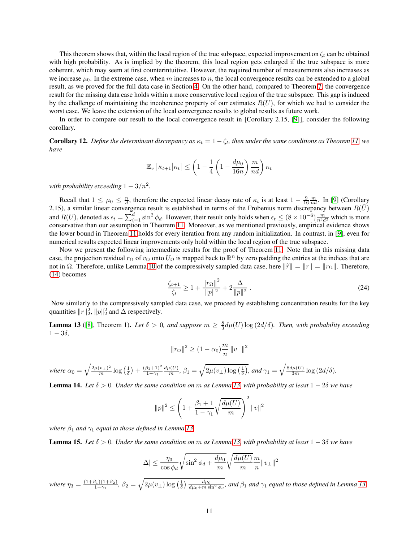This theorem shows that, within the local region of the true subspace, expected improvement on  $\zeta_t$  can be obtained with high probability. As is implied by the theorem, this local region gets enlarged if the true subspace is more coherent, which may seem at first counterintuitive. However, the required number of measurements also increases as we increase  $\mu_0$ . In the extreme case, when m increases to n, the local convergence results can be extended to a global result, as we proved for the full data case in Section [4.](#page-5-0) On the other hand, compared to Theorem [7,](#page-8-0) the convergence result for the missing data case holds within a more conservative local region of the true subspace. This gap is induced by the challenge of maintaining the incoherence property of our estimates  $R(U)$ , for which we had to consider the worst case. We leave the extension of the local convergence results to global results as future work.

In order to compare our result to the local convergence result in [Corollary 2.15, [\[9\]](#page-29-11)], consider the following corollary.

<span id="page-10-2"></span>**Corollary 12.** *Define the determinant discrepancy as*  $\kappa_t = 1 - \zeta_t$ *, then under the same conditions as Theorem [11,](#page-10-0) we have*

$$
\mathbb{E}_{v} \left[ \kappa_{t+1} \middle| \kappa_t \right] \le \left( 1 - \frac{1}{4} \left( 1 - \frac{d\mu_0}{16n} \right) \frac{m}{nd} \right) \kappa_t
$$

with probability exceeding  $1 - 3/n^2$ .

Recall that  $1 \leq \mu_0 \leq \frac{n}{d}$ , therefore the expected linear decay rate of  $\kappa_t$  is at least  $1 - \frac{9}{16} \frac{m}{nd}$ . In [\[9\]](#page-29-11) (Corollary 2.15), a similar linear convergence result is established in terms of the Frobenius norm discrepancy between  $R(\bar{U})$ and  $R(U)$ , denoted as  $\epsilon_t = \sum_{i=1}^d \sin^2 \phi_d$ . However, their result only holds when  $\epsilon_t \le (8 \times 10^{-6}) \frac{m}{n^3 d^2}$  which is more conservative than our assumption in Theorem [11.](#page-10-0) Moreover, as we mentioned previously, empirical evidence shows the lower bound in Theorem [11](#page-10-0) holds for every iteration from any random initialization. In contrast, in [\[9\]](#page-29-11), even for numerical results expected linear improvements only hold within the local region of the true subspace.

Now we present the following intermediate results for the proof of Theorem [11.](#page-10-0) Note that in this missing data case, the projection residual  $r_{\Omega}$  of  $v_{\Omega}$  onto  $U_{\Omega}$  is mapped back to  $\mathbb{R}^n$  by zero padding the entries at the indices that are not in Ω. Therefore, unlike Lemma [10](#page-8-2) of the compressively sampled data case, here  $\|\tilde{r}\| = \|r\| = \|r_{\Omega}\|$ . Therefore, [\(14\)](#page-7-0) becomes

<span id="page-10-0"></span>
$$
\frac{\zeta_{t+1}}{\zeta_t} \ge 1 + \frac{\|r_\Omega\|^2}{\|p\|^2} + 2\frac{\Delta}{\|p\|^2} \,. \tag{24}
$$

Now similarly to the compressively sampled data case, we proceed by establishing concentration results for the key quantities  $||r||_2^2$ ,  $||p||_2^2$  and  $\Delta$  respectively.

<span id="page-10-1"></span>**Lemma 13** ([\[8\]](#page-29-13), Theorem 1). Let  $\delta > 0$ , and suppose  $m \ge \frac{8}{3}d\mu(U)\log(2d/\delta)$ . Then, with probability exceeding  $1 - 3\delta$ ,

$$
||r_{\Omega}||^{2} \geq (1 - \alpha_{0}) \frac{m}{n} ||v_{\perp}||^{2}
$$

*where*  $\alpha_0 = \sqrt{\frac{2\mu(v_\perp)^2}{m} \log\left(\frac{1}{\delta}\right)} + \frac{(\beta_1 + 1)^2}{1 - \gamma_1}$  $1-\gamma_1$  $\frac{d\mu(U)}{m}$ ,  $\beta_1 = \sqrt{2\mu(v_\perp)\log\left(\frac{1}{\delta}\right)}$ , and  $\gamma_1 = \sqrt{\frac{8d\mu(U)}{3m}\log\left(\frac{2d}{\delta}\right)}$ .

**Lemma 14.** Let  $\delta > 0$ . Under the same condition on m as Lemma [13,](#page-10-1) with probability at least  $1 - 2\delta$  we have

$$
||p||^2 \le \left(1 + \frac{\beta_1 + 1}{1 - \gamma_1} \sqrt{\frac{d\mu(U)}{m}}\right)^2 ||v||^2
$$

*where*  $\beta_1$  *and*  $\gamma_1$  *equal to those defined in Lemma [13.](#page-10-1)* 

**Lemma 15.** Let  $\delta > 0$ . Under the same condition on m as Lemma [13,](#page-10-1) with probability at least  $1 − 3\delta$  we have

$$
|\Delta| \leq \frac{\eta_3}{\cos\phi_d} \sqrt{\sin^2\phi_d + \frac{d\mu_0}{m}} \sqrt{\frac{d\mu(U)}{m}} \frac{m}{n} ||v_\perp||^2
$$

*where*  $\eta_3 = \frac{(1+\beta_1)(1+\beta_2)}{1-\gamma_1}$  $\frac{\beta_1(1+\beta_2)}{1-\gamma_1}$ ,  $\beta_2 = \sqrt{2\mu(v_\perp)\log\left(\frac{1}{\delta}\right)\frac{d\mu_0}{d\mu_0+m\sin^2\phi_d}}$ , and  $\beta_1$  and  $\gamma_1$  equal to those defined in Lemma [13.](#page-10-1)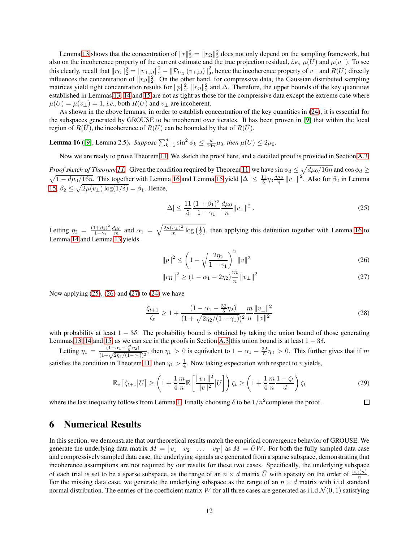Lemma [13](#page-10-1) shows that the concentration of  $||r||_2^2 = ||r_{\Omega}||_2^2$  does not only depend on the sampling framework, but also on the incoherence property of the current estimate and the true projection residual, *i.e.*,  $\mu(\hat{U})$  and  $\mu(v_{\perp})$ . To see this clearly, recall that  $||r_{\Omega}||_2^2 = ||v_{\perp,\Omega}||_2^2 - ||\mathcal{P}_{U_{\Omega}}(v_{\perp,\Omega})||_2^2$  $2<sub>2</sub>$ , hence the incoherence property of  $v_{\perp}$  and  $R(U)$  directly influences the concentration of  $||r_{\Omega}||_2^2$ . On the other hand, for compressive data, the Gaussian distributed sampling matrices yield tight concentration results for  $||p||_2^2$ ,  $||r_{\Omega}||_2^2$  and  $\Delta$ . Therefore, the upper bounds of the key quantities established in Lemmas [13,](#page-10-1) [14](#page-11-1) and [15](#page-11-1) are not as tight as those for the compressive data except the extreme case where  $\mu(U) = \mu(v_{\perp}) = 1$ , *i.e.*, both  $R(U)$  and  $v_{\perp}$  are incoherent.

As shown in the above lemmas, in order to establish concentration of the key quantities in [\(24\)](#page-10-0), it is essential for the subspaces generated by GROUSE to be incoherent over iterates. It has been proven in [\[9\]](#page-29-11) that within the local region of  $R(U)$ , the incoherence of  $R(U)$  can be bounded by that of  $R(U)$ .

<span id="page-11-2"></span>**Lemma 16** ([\[9\]](#page-29-11), Lemma 2.5). *Suppose*  $\sum_{k=1}^{d} \sin^2 \phi_k \leq \frac{d}{16n} \mu_0$ , then  $\mu(U) \leq 2\mu_0$ .

Now we are ready to prove Theorem [11.](#page-10-0) We sketch the proof here, and a detailed proof is provided in Section [A.3.](#page-18-0)

*Proof sketch of Theorem [11.](#page-10-0)* Given the condition required by Theorem [11,](#page-10-0) we have  $\sin \phi_d \le \sqrt{d\mu_0/16n}$  and  $\cos \phi_d \ge$  $\sqrt{1-d\mu_0/16n}$ . This together with Lemma [16](#page-11-2) and Lemma [15](#page-11-1) yield  $|\Delta| \leq \frac{11}{5}\eta_3 \frac{d\mu_0}{n} ||v_\perp||^2$ . Also for  $\beta_2$  in Lemma [15,](#page-11-1)  $\beta_2 \leq \sqrt{2\mu(v_\perp)\log(1/\delta)} = \beta_1$ . Hence,

<span id="page-11-1"></span>
$$
|\Delta| \le \frac{11}{5} \frac{(1+\beta_1)^2}{1-\gamma_1} \frac{d\mu_0}{n} \|v_\perp\|^2.
$$
 (25)

Letting  $\eta_2 = \frac{(1+\beta_1)^2}{1-\gamma_1}$  $\frac{(1+\beta_1)^2}{1-\gamma_1} \frac{d\mu_0}{m}$  and  $\alpha_1 = \sqrt{\frac{2\mu(v_\perp)^2}{m} \log\left(\frac{1}{\delta}\right)}$ , then applying this definition together with Lemma [16](#page-11-2) to Lemma [14](#page-11-1) and Lemma [13](#page-10-1) yields

$$
||p||^2 \le \left(1 + \sqrt{\frac{2\eta_2}{1 - \gamma_1}}\right)^2 ||v||^2
$$
\n(26)

$$
||r_{\Omega}||^2 \ge (1 - \alpha_1 - 2\eta_2) \frac{m}{n} ||v_{\perp}||^2
$$
 (27)

<span id="page-11-4"></span><span id="page-11-3"></span> $\Box$ 

Now applying  $(25)$ ,  $(26)$  and  $(27)$  to  $(24)$  we have

$$
\frac{\zeta_{t+1}}{\zeta_t} \ge 1 + \frac{(1 - \alpha_1 - \frac{32}{5}\eta_2)}{(1 + \sqrt{2\eta_2/(1 - \gamma_1)})^2} \frac{m}{n} \frac{\|v_\perp\|^2}{\|v\|^2}
$$
\n(28)

with probability at least  $1 - 3\delta$ . The probability bound is obtained by taking the union bound of those generating Lemmas [13,](#page-10-1) [14](#page-11-1) and [15,](#page-11-1) as we can see in the proofs in Section [A.3](#page-18-0) this union bound is at least  $1 - 3\delta$ .

Letting  $\eta_1 = \frac{(1-\alpha_1-\frac{32}{5}\eta_2)}{(1+\sqrt{2\eta_2/(1-\gamma_1)})^2}$ , then  $\eta_1 > 0$  is equivalent to  $1-\alpha_1-\frac{32}{5}\eta_2 > 0$ . This further gives that if m satisfies the condition in Theorem [11,](#page-10-0) then  $\eta_1 > \frac{1}{4}$ . Now taking expectation with respect to v yields,

$$
\mathbb{E}_v \left[ \zeta_{t+1} | U \right] \ge \left( 1 + \frac{1}{4} \frac{m}{n} \mathbb{E} \left[ \frac{\|v_\perp\|^2}{\|v\|^2} | U \right] \right) \zeta_t \ge \left( 1 + \frac{1}{4} \frac{m}{n} \frac{1 - \zeta_t}{d} \right) \zeta_t \tag{29}
$$

where the last inequality follows from Lemma [1.](#page-4-0) Finally choosing  $\delta$  to be  $1/n^2$ completes the proof.

# <span id="page-11-0"></span>6 Numerical Results

In this section, we demonstrate that our theoretical results match the empirical convergence behavior of GROUSE. We generate the underlying data matrix  $M = \begin{bmatrix} v_1 & v_2 & \dots & v_T \end{bmatrix}$  as  $M = \overline{U}W$ . For both the fully sampled data case and compressively sampled data case, the underlying signals are generated from a sparse subspace, demonstrating that incoherence assumptions are not required by our results for these two cases. Specifically, the underlying subspace of each trial is set to be a sparse subspace, as the range of an  $n \times d$  matrix  $\bar{U}$  with sparsity on the order of  $\frac{\log(n)}{n}$ . For the missing data case, we generate the underlying subspace as the range of an  $n \times d$  matrix with i.i.d standard normal distribution. The entries of the coefficient matrix W for all three cases are generated as i.i.d  $\mathcal{N}(0, 1)$  satisfying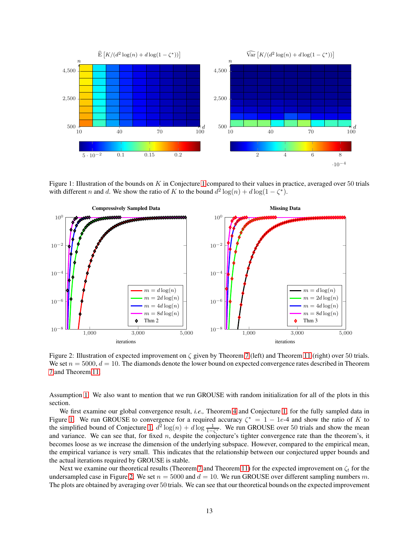<span id="page-12-0"></span>

Figure [1](#page-6-1): Illustration of the bounds on  $K$  in Conjecture 1 compared to their values in practice, averaged over 50 trials with different *n* and *d*. We show the ratio of *K* to the bound  $d^2 \log(n) + d \log(1 - \zeta^*)$ .

<span id="page-12-1"></span>

Figure 2: Illustration of expected improvement on  $\zeta$  given by Theorem [7](#page-8-0) (left) and Theorem [11](#page-10-0) (right) over 50 trials. We set  $n = 5000$ ,  $d = 10$ . The diamonds denote the lower bound on expected convergence rates described in Theorem [7](#page-8-0) and Theorem [11.](#page-10-0)

Assumption [1.](#page-4-1) We also want to mention that we run GROUSE with random initialization for all of the plots in this section.

We first examine our global convergence result, *i.e.,* Theorem [4](#page-6-1) and Conjecture [1,](#page-6-1) for the fully sampled data in Figure [1.](#page-12-0) We run GROUSE to convergence for a required accuracy  $\zeta^* = 1 - 1e^{-4}$  and show the ratio of K to the simplified bound of Conjecture [1,](#page-6-1)  $d^2 \log(n) + d \log \frac{1}{1-\zeta^*}$ . We run GROUSE over 50 trials and show the mean and variance. We can see that, for fixed  $n$ , despite the conjecture's tighter convergence rate than the theorem's, it becomes loose as we increase the dimension of the underlying subspace. However, compared to the empirical mean, the empirical variance is very small. This indicates that the relationship between our conjectured upper bounds and the actual iterations required by GROUSE is stable.

Next we examine our theoretical results (Theorem [7](#page-8-0) and Theorem [11\)](#page-10-0) for the expected improvement on  $\zeta_t$  for the undersampled case in Figure [2.](#page-12-1) We set  $n = 5000$  and  $d = 10$ . We run GROUSE over different sampling numbers m. The plots are obtained by averaging over 50 trials. We can see that our theoretical bounds on the expected improvement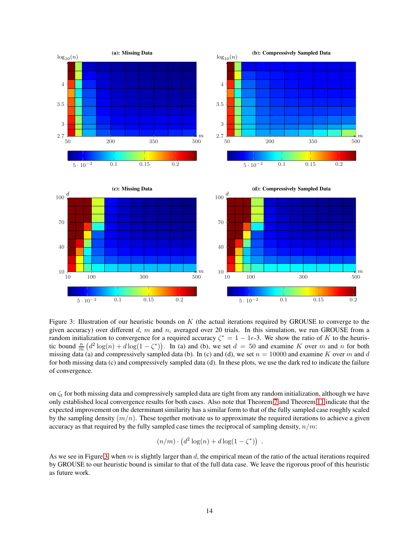<span id="page-13-0"></span>

Figure 3: Illustration of our heuristic bounds on  $K$  (the actual iterations required by GROUSE to converge to the given accuracy) over different  $d$ ,  $m$  and  $n$ , averaged over 20 trials. In this simulation, we run GROUSE from a random initialization to convergence for a required accuracy  $\zeta^* = 1 - 1e^{-2}$ . We show the ratio of K to the heuristic bound  $\frac{n}{m} (d^2 \log(n) + d \log(1 - \zeta^*))$ . In (a) and (b), we set  $d = 50$  and examine K over m and n for both missing data (a) and compressively sampled data (b). In (c) and (d), we set  $n = 10000$  and examine K over m and d for both missing data (c) and compressively sampled data (d). In these plots, we use the dark red to indicate the failure of convergence.

on  $\zeta_t$  for both missing data and compressively sampled data are tight from any random initialization, although we have only established local convergence results for both cases. Also note that Theorem [7](#page-8-0) and Theorem [11](#page-10-0) indicate that the expected improvement on the determinant similarity has a similar form to that of the fully sampled case roughly scaled by the sampling density  $(m/n)$ . These together motivate us to approximate the required iterations to achieve a given accuracy as that required by the fully sampled case times the reciprocal of sampling density,  $n/m$ :

$$
(n/m) \cdot (d^2 \log(n) + d \log(1 - \zeta^*)) .
$$

As we see in Figure [3,](#page-13-0) when m is slightly larger than d, the empirical mean of the ratio of the actual iterations required by GROUSE to our heuristic bound is similar to that of the full data case. We leave the rigorous proof of this heuristic as future work.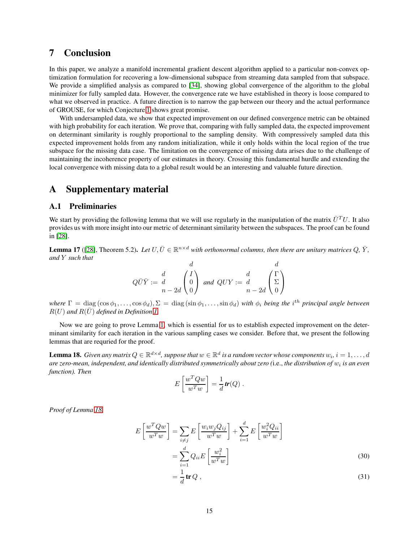# 7 Conclusion

In this paper, we analyze a manifold incremental gradient descent algorithm applied to a particular non-convex optimization formulation for recovering a low-dimensional subspace from streaming data sampled from that subspace. We provide a simplified analysis as compared to [\[34\]](#page-30-15), showing global convergence of the algorithm to the global minimizer for fully sampled data. However, the convergence rate we have established in theory is loose compared to what we observed in practice. A future direction is to narrow the gap between our theory and the actual performance of GROUSE, for which Conjecture [1](#page-6-1) shows great promise.

With undersampled data, we show that expected improvement on our defined convergence metric can be obtained with high probability for each iteration. We prove that, comparing with fully sampled data, the expected improvement on determinant similarity is roughly proportional to the sampling density. With compressively sampled data this expected improvement holds from any random initialization, while it only holds within the local region of the true subspace for the missing data case. The limitation on the convergence of missing data arises due to the challenge of maintaining the incoherence property of our estimates in theory. Crossing this fundamental hurdle and extending the local convergence with missing data to a global result would be an interesting and valuable future direction.

# A Supplementary material

#### <span id="page-14-0"></span>A.1 Preliminaries

We start by providing the following lemma that we will use regularly in the manipulation of the matrix  $\bar{U}^T U$ . It also provides us with more insight into our metric of determinantsimilarity between the subspaces. The proof can be found in [\[28\]](#page-30-16).

**Lemma 17** ([\[28\]](#page-30-16), Theorem 5.2). Let  $U, \overline{U} \in \mathbb{R}^{n \times d}$  with orthonormal columns, then there are unitary matrices  $Q, \overline{Y}$ , *and* Y *such that* d d

$$
Q\bar{U}\bar{Y} := \begin{pmatrix} d \\ d \\ n - 2d \end{pmatrix} \begin{pmatrix} I \\ 0 \\ 0 \end{pmatrix} \text{ and } QUY := \begin{pmatrix} d \\ d \\ n - 2d \end{pmatrix} \begin{pmatrix} I \\ \Sigma \\ 0 \end{pmatrix}
$$

 $where \ \Gamma = \text{diag}(\cos\phi_1,\ldots,\cos\phi_d), \Sigma = \text{diag}(\sin\phi_1,\ldots,\sin\phi_d)$  *with*  $\phi_i$  *being the i*<sup>th</sup> principal angle between  $R(U)$  and  $R(\bar{U})$  defined in Definition [1.](#page-4-0)

Now we are going to prove Lemma [1,](#page-4-0) which is essential for us to establish expected improvement on the determinant similarity for each iteration in the various sampling cases we consider. Before that, we present the following lemmas that are requried for the proof.

<span id="page-14-1"></span>**Lemma 18.** Given any matrix  $Q \in \mathbb{R}^{d \times d}$ , suppose that  $w \in \mathbb{R}^d$  is a random vector whose components  $w_i$ ,  $i = 1, \ldots, d$ are zero-mean, independent, and identically distributed symmetrically about zero (i.e., the distribution of  $w_i$  is an even *function). Then*

$$
E\left[\frac{w^T Q w}{w^T w}\right] = \frac{1}{d} tr(Q) .
$$

*Proof of Lemma [18.](#page-14-1)*

$$
E\left[\frac{w^T Q w}{w^T w}\right] = \sum_{i \neq j} E\left[\frac{w_i w_j Q_{ij}}{w^T w}\right] + \sum_{i=1}^d E\left[\frac{w_i^2 Q_{ii}}{w^T w}\right]
$$

$$
= \sum_{i=1}^d Q_{ii} E\left[\frac{w_i^2}{w^T w}\right]
$$
(30)

<span id="page-14-3"></span><span id="page-14-2"></span>
$$
\frac{1}{d}\mathbf{tr}\,Q\,,\tag{31}
$$

=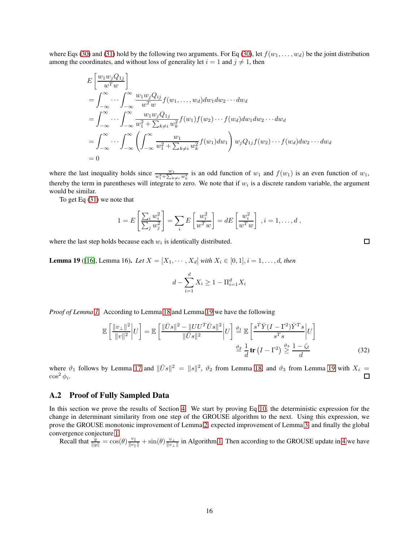where Eqs [\(30\)](#page-14-2) and [\(31\)](#page-14-3) hold by the following two arguments. For Eq (30), let  $f(w_1, \ldots, w_d)$  be the joint distribution among the coordinates, and without loss of generality let  $i = 1$  and  $j \neq 1$ , then

$$
E\left[\frac{w_1w_jQ_{1j}}{w^Tw}\right]
$$
  
=  $\int_{-\infty}^{\infty} \cdots \int_{-\infty}^{\infty} \frac{w_1w_jQ_{ij}}{w^Tw} f(w_1,\ldots,w_d)dw_1dw_2\cdots dw_d$   
=  $\int_{-\infty}^{\infty} \cdots \int_{-\infty}^{\infty} \frac{w_1w_jQ_{1j}}{w_1^2 + \sum_{k\neq i}w_k^2} f(w_1)f(w_2)\cdots f(w_d)dw_1dw_2\cdots dw_d$   
=  $\int_{-\infty}^{\infty} \cdots \int_{-\infty}^{\infty} \left(\int_{-\infty}^{\infty} \frac{w_1}{w_1^2 + \sum_{k\neq i}w_k^2} f(w_1)dw_1\right) w_jQ_{1j}f(w_2)\cdots f(w_d)dw_2\cdots dw_d$   
= 0

where the last inequality holds since  $\frac{w_1}{w_1^2 + \sum_{k \neq i} w_k^2}$  is an odd function of  $w_1$  and  $f(w_1)$  is an even function of  $w_1$ , thereby the term in parentheses will integrate to zero. We note that if  $w_i$  is a discrete random variable, the argument would be similar.

To get Eq [\(31\)](#page-14-3) we note that

$$
1 = E\left[\frac{\sum_i w_i^2}{\sum_j w_j^2}\right] = \sum_i E\left[\frac{w_i^2}{w^T w}\right] = dE\left[\frac{w_i^2}{w^T w}\right], i = 1, \dots, d,
$$

where the last step holds because each  $w_i$  is identically distributed.

<span id="page-15-1"></span>**Lemma 19** ([\[16\]](#page-30-2), Lemma 16). Let  $X = [X_1, \cdots, X_d]$  with  $X_i \in [0, 1], i = 1, \ldots, d$ , then

$$
d - \sum_{i=1}^{d} X_i \ge 1 - \Pi_{i=1}^{d} X_i
$$

*Proof of Lemma [1.](#page-4-0)* According to Lemma [18](#page-14-1) and Lemma [19](#page-15-1) we have the following

$$
\mathbb{E}\left[\frac{\|v_{\perp}\|^2}{\|v\|^2}\bigg|U\right] = \mathbb{E}\left[\frac{\|\bar{U}s\|^2 - \|UU^T\bar{U}s\|^2}{\|\bar{U}s\|^2}\bigg|U\right] \stackrel{\vartheta_1}{=} \mathbb{E}\left[\frac{s^T\bar{Y}(I - \Gamma^2)\bar{Y}^T s}{s^T s}\bigg|U\right]
$$

$$
\stackrel{\vartheta_2}{=} \frac{1}{d}\mathbf{tr}\left(I - \Gamma^2\right) \stackrel{\vartheta_3}{\geq} \frac{1 - \zeta_t}{d}
$$
(32)

where  $\vartheta_1$  follows by Lemma [17](#page-14-2) and  $\|\bar{U}s\|^2 = \|s\|^2$ ,  $\vartheta_2$  from Lemma [18,](#page-14-1) and  $\vartheta_3$  from Lemma [19](#page-15-1) with  $X_i =$  $\cos^2 \phi_i$ . □

### <span id="page-15-0"></span>A.2 Proof of Fully Sampled Data

In this section we prove the results of Section [4.](#page-5-0) We start by proving Eq [10,](#page-5-1) the deterministic expression for the change in determinant similarity from one step of the GROUSE algorithm to the next. Using this expression, we prove the GROUSE monotonic improvement of Lemma [2,](#page-6-1) expected improvement of Lemma [3,](#page-6-1) and finally the global convergence conjecture [1.](#page-6-1)

Recall that  $\frac{y}{\|y\|} = \cos(\theta) \frac{v_{\|}}{\|v_{\|}\|} + \sin(\theta) \frac{v_{\perp}}{\|v_{\perp}\|}$  in Algorithm [1.](#page-2-0) Then according to the GROUSE update in [4](#page-2-4) we have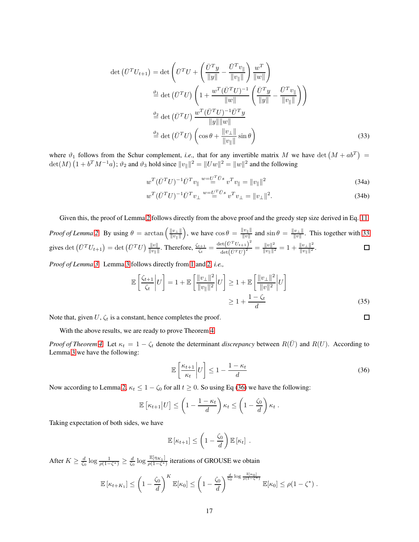$$
\det\left(\bar{U}^T U_{t+1}\right) = \det\left(\bar{U}^T U + \left(\frac{\bar{U}^T y}{\|y\|} - \frac{\bar{U}^T v_{\|}}{\|v\|}\right) \frac{w^T}{\|w\|}\right)
$$
\n
$$
\stackrel{\vartheta_1}{\equiv} \det\left(\bar{U}^T U\right) \left(1 + \frac{w^T (\bar{U}^T U)^{-1}}{\|w\|} \left(\frac{\bar{U}^T y}{\|y\|} - \frac{\bar{U}^T v_{\|}}{\|v\|}\right)\right)
$$
\n
$$
\stackrel{\vartheta_2}{\equiv} \det\left(\bar{U}^T U\right) \frac{w^T (\bar{U}^T U)^{-1} \bar{U}^T y}{\|y\| \|w\|}
$$
\n
$$
\stackrel{\vartheta_3}{\equiv} \det\left(\bar{U}^T U\right) \left(\cos\theta + \frac{\|v_{\perp}\|}{\|v_{\|}\|} \sin\theta\right) \tag{33}
$$

where  $\vartheta_1$  follows from the Schur complement, *i.e.*, that for any invertible matrix M we have det  $(M + ab^T)$  =  $\det(M)$   $(1 + b^T M^{-1}a)$ ;  $\vartheta_2$  and  $\vartheta_3$  hold since  $||v_{\parallel}||^2 = ||Uw||^2 = ||w||^2$  and the following

$$
w^T (\bar{U}^T U)^{-1} \bar{U}^T v_{\parallel} \stackrel{w = U^T \bar{U} s}{=} v^T v_{\parallel} = ||v_{\parallel}||^2
$$
\n(34a)

$$
w^T (\bar{U}^T U)^{-1} \bar{U}^T v_\perp \stackrel{w = U^T \bar{U}^s}{=} v^T v_\perp = ||v_\perp||^2. \tag{34b}
$$

Given this, the proof of Lemma [2](#page-6-1) follows directly from the above proof and the greedy step size derived in Eq. [11.](#page-5-2)

Proof of Lemma 2. By using 
$$
\theta = \arctan\left(\frac{\|v_{\perp}\|}{\|v_{\parallel}\|}\right)
$$
, we have  $\cos\theta = \frac{\|v_{\parallel}\|}{\|v\|}$  and  $\sin\theta = \frac{\|v_{\perp}\|}{\|v\|}$ . This together with 33 gives  $\det\left(\bar{U}^T U_{t+1}\right) = \det\left(\bar{U}^T U\right) \frac{\|v\|}{\|v_{\parallel}\|}$ . Therefore,  $\frac{\zeta_{t+1}}{\zeta_t} = \frac{\det(\bar{U}^T U_{t+1})^2}{\det(\bar{U}^T U)^2} = \frac{\|v\|^2}{\|v_{\parallel}\|^2} = 1 + \frac{\|v_{\perp}\|^2}{\|v_{\parallel}\|^2}$ .

*Proof of Lemma [3.](#page-6-1)* Lemma [3](#page-6-1) follows directly from [1](#page-4-0) and [2,](#page-6-1) *i.e.,*

$$
\mathbb{E}\left[\frac{\zeta_{t+1}}{\zeta_t}\bigg|U\right] = 1 + \mathbb{E}\left[\frac{\|v_\perp\|^2}{\|v_\parallel\|^2}\bigg|U\right] \ge 1 + \mathbb{E}\left[\frac{\|v_\perp\|^2}{\|v\|^2}\bigg|U\right]
$$

$$
\ge 1 + \frac{1 - \zeta_t}{d}
$$
(35)

Note that, given  $U, \zeta_t$  is a constant, hence completes the proof.

With the above results, we are ready to prove Theorem [4.](#page-6-1)

*Proof of Theorem [4.](#page-6-1)* Let  $\kappa_t = 1 - \zeta_t$  denote the determinant *discrepancy* between  $R(\bar{U})$  and  $R(U)$ . According to Lemma [3](#page-6-1) we have the following:

$$
\mathbb{E}\left[\frac{\kappa_{t+1}}{\kappa_t}\bigg|U\right] \le 1 - \frac{1 - \kappa_t}{d} \tag{36}
$$

<span id="page-16-1"></span><span id="page-16-0"></span> $\Box$ 

Now according to Lemma [2,](#page-6-1)  $\kappa_t \leq 1 - \zeta_0$  for all  $t \geq 0$ . So using Eq [\(36\)](#page-16-1) we have the following:

$$
\mathbb{E}\left[\kappa_{t+1}\middle|U\right] \leq \left(1 - \frac{1 - \kappa_t}{d}\right)\kappa_t \leq \left(1 - \frac{\zeta_0}{d}\right)\kappa_t.
$$

Taking expectation of both sides, we have

$$
\mathbb{E} [\kappa_{t+1}] \leq \left(1 - \frac{\zeta_0}{d}\right) \mathbb{E} [\kappa_t].
$$

After  $K \ge \frac{d}{\zeta_0} \log \frac{1}{\rho(1-\zeta^*)} \ge \frac{d}{\zeta_0} \log \frac{\mathbb{E}[\eta_{K_1}]}{\rho(1-\zeta^*)}$  $\frac{\mathbb{E}[\eta_{K_1}]}{\rho(1-\zeta^*)}$  iterations of GROUSE we obtain

$$
\mathbb{E}\left[\kappa_{t+K_1}\right] \leq \left(1-\frac{\zeta_0}{d}\right)^K \mathbb{E}[\kappa_0] \leq \left(1-\frac{\zeta_0}{d}\right)^{\frac{d}{\zeta_0}\log \frac{\mathbb{E}[\kappa_0]}{\rho(1-\zeta^*)}} \mathbb{E}[\kappa_0] \leq \rho(1-\zeta^*) .
$$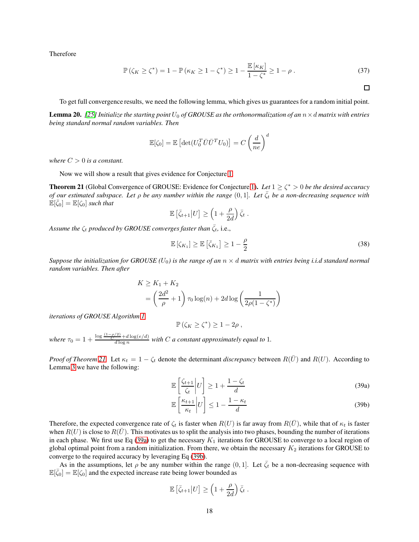Therefore

$$
\mathbb{P}(\zeta_K \ge \zeta^*) = 1 - \mathbb{P}(\kappa_K \ge 1 - \zeta^*) \ge 1 - \frac{\mathbb{E}[\kappa_K]}{1 - \zeta^*} \ge 1 - \rho.
$$
 (37)

<span id="page-17-3"></span> $\Box$ 

To get full convergence results, we need the following lemma, which gives us guarantees for a random initial point.

**Lemma 20.** [\[25\]](#page-30-17) Initialize the starting point  $U_0$  of GROUSE as the orthonormalization of an  $n \times d$  matrix with entries *being standard normal random variables. Then*

$$
\mathbb{E}[\zeta_0] = \mathbb{E}\left[\det(U_0^T \bar{U} \bar{U}^T U_0)\right] = C\left(\frac{d}{ne}\right)^d
$$

*where*  $C > 0$  *is a constant.* 

Now we will show a result that gives evidence for Conjecture [1.](#page-6-1)

**Theorem 21** (Global Convergence of GROUSE: Evidence for Conjecture [1\)](#page-6-1). Let  $1 \ge \zeta^* > 0$  be the desired accuracy *of our estimated subspace. Let*  $\rho$  *be any number within the range*  $(0, 1]$ *. Let*  $\bar{\zeta}_t$  *be a non-decreasing sequence with*  $\mathbb{E}[\bar{\zeta}_0] = \mathbb{E}[\zeta_0]$  such that

$$
\mathbb{E}\left[\bar{\zeta}_{t+1}\big|U\right] \ge \left(1 + \frac{\rho}{2d}\right)\bar{\zeta}_t.
$$

*Assume the*  $\zeta_t$  *produced by GROUSE converges faster than*  $\overline{\zeta_t}$ , i.e.,

$$
\mathbb{E}\left[\zeta_{K_1}\right] \ge \mathbb{E}\left[\bar{\zeta}_{K_1}\right] \ge 1 - \frac{\rho}{2} \tag{38}
$$

*Suppose the initialization for GROUSE*  $(U_0)$  *is the range of an*  $n \times d$  *matrix with entries being i.i.d standard normal random variables. Then after*

$$
K \ge K_1 + K_2
$$
  
=  $\left(\frac{2d^2}{\rho} + 1\right) \tau_0 \log(n) + 2d \log\left(\frac{1}{2\rho(1 - \zeta^*)}\right)$ 

*iterations of GROUSE Algorithm [1,](#page-2-0)*

$$
\mathbb{P}\left(\zeta_K \geq \zeta^*\right) \geq 1 - 2\rho \;,
$$

where  $\tau_0 = 1 + \frac{\log \frac{(1-\rho/2)}{C} + d \log(e/d)}{d \log n}$  with C *a constant approximately equal to* 1*.* 

*Proof of Theorem* [21.](#page-17-0) Let  $\kappa_t = 1 - \zeta_t$  denote the determinant *discrepancy* between  $R(\bar{U})$  and  $R(U)$ . According to Lemma [3](#page-6-1) we have the following:

<span id="page-17-1"></span><span id="page-17-0"></span>
$$
\mathbb{E}\left[\frac{\zeta_{t+1}}{\zeta_t}\bigg|U\right] \ge 1 + \frac{1-\zeta_t}{d} \tag{39a}
$$

<span id="page-17-2"></span>
$$
\mathbb{E}\left[\frac{\kappa_{t+1}}{\kappa_t}\middle|U\right] \le 1 - \frac{1 - \kappa_t}{d} \tag{39b}
$$

Therefore, the expected convergence rate of  $\zeta_t$  is faster when  $R(U)$  is far away from  $R(\bar{U})$ , while that of  $\kappa_t$  is faster when  $R(U)$  is close to  $R(\overline{U})$ . This motivates us to split the analysis into two phases, bounding the number of iterations in each phase. We first use Eq [\(39a\)](#page-17-1) to get the necessary  $K_1$  iterations for GROUSE to converge to a local region of global optimal point from a random initialization. From there, we obtain the necessary  $K_2$  iterations for GROUSE to converge to the required accuracy by leveraging Eq [\(39b\)](#page-17-2).

As in the assumptions, let  $\rho$  be any number within the range  $(0, 1]$ . Let  $\bar{\zeta}_t$  be a non-decreasing sequence with  $\mathbb{E}[\bar{\zeta}_0] = \mathbb{E}[\zeta_0]$  and the expected increase rate being lower bounded as

$$
\mathbb{E}\left[\bar{\zeta}_{t+1}\big|U\right] \ge \left(1 + \frac{\rho}{2d}\right)\bar{\zeta}_t.
$$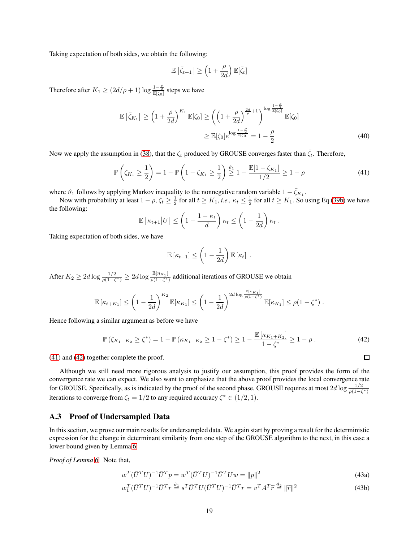Taking expectation of both sides, we obtain the following:

$$
\mathbb{E}\left[\bar{\zeta}_{t+1}\right] \geq \left(1+\frac{\rho}{2d}\right)\mathbb{E}[\bar{\zeta}_t]
$$

Therefore after  $K_1 \geq (2d/\rho + 1) \log \frac{1-\frac{\rho}{2}}{\mathbb{E}[\zeta_0]}$  steps we have

$$
\mathbb{E}\left[\bar{\zeta}_{K_1}\right] \ge \left(1 + \frac{\rho}{2d}\right)^{K_1} \mathbb{E}[\zeta_0] \ge \left(\left(1 + \frac{\rho}{2d}\right)^{\frac{2d}{\rho} + 1}\right)^{\log \frac{1 - \frac{\rho}{2}}{\mathbb{E}[\zeta_0]}} \mathbb{E}[\zeta_0]
$$
\n
$$
\ge \mathbb{E}[\zeta_0] e^{\log \frac{1 - \frac{\rho}{2}}{\mathbb{E}[\zeta_0]}} = 1 - \frac{\rho}{2} \tag{40}
$$

Now we apply the assumption in [\(38\)](#page-17-3), that the  $\zeta_t$  produced by GROUSE converges faster than  $\bar{\zeta}_t$ . Therefore,

$$
\mathbb{P}\left(\zeta_{K_1} \ge \frac{1}{2}\right) = 1 - \mathbb{P}\left(1 - \zeta_{K_1} \ge \frac{1}{2}\right) \stackrel{\vartheta_1}{\ge} 1 - \frac{\mathbb{E}[1 - \zeta_{K_1}]}{1/2} \ge 1 - \rho \tag{41}
$$

where  $\vartheta_1$  follows by applying Markov inequality to the nonnegative random variable  $1 - \bar{\zeta}_{K_1}$ .

Now with probability at least  $1 - \rho$ ,  $\zeta_t \ge \frac{1}{2}$  for all  $t \ge K_1$ , *i.e.*,  $\kappa_t \le \frac{1}{2}$  for all  $t \ge K_1$ . So using Eq [\(39b\)](#page-17-2) we have the following:

$$
\mathbb{E}\left[\kappa_{t+1}\middle|U\right] \leq \left(1 - \frac{1 - \kappa_t}{d}\right)\kappa_t \leq \left(1 - \frac{1}{2d}\right)\kappa_t.
$$

Taking expectation of both sides, we have

<span id="page-18-2"></span><span id="page-18-1"></span>
$$
\mathbb{E} [\kappa_{t+1}] \leq \left(1 - \frac{1}{2d}\right) \mathbb{E} [\kappa_t].
$$

After  $K_2 \geq 2d \log \frac{1/2}{\rho(1-\zeta^*)} \geq 2d \log \frac{\mathbb{E}[\eta_{K_1}]}{\rho(1-\zeta^*)}$  $\frac{\mu(\eta K_1)}{\rho(1-\zeta^*)}$  additional iterations of GROUSE we obtain

$$
\mathbb{E}\left[\kappa_{t+K_1}\right] \leq \left(1-\frac{1}{2d}\right)^{K_2} \mathbb{E}[\kappa_{K_1}] \leq \left(1-\frac{1}{2d}\right)^{2d\log \frac{\mathbb{E}[\kappa_{K_1}]}{\rho(1-\zeta^*)}} \mathbb{E}[\kappa_{K_1}] \leq \rho(1-\zeta^*)\;.
$$

Hence following a similar argument as before we have

$$
\mathbb{P}\left(\zeta_{K_1+K_2} \ge \zeta^*\right) = 1 - \mathbb{P}\left(\kappa_{K_1+K_2} \ge 1 - \zeta^*\right) \ge 1 - \frac{\mathbb{E}\left[\kappa_{K_1+K_2}\right]}{1 - \zeta^*} \ge 1 - \rho\,. \tag{42}
$$

[\(41\)](#page-18-1) and [\(42\)](#page-18-2) together complete the proof.

Although we still need more rigorous analysis to justify our assumption, this proof provides the form of the convergence rate we can expect. We also want to emphasize that the above proof provides the local convergence rate for GROUSE. Specifically, as is indicated by the proof of the second phase, GROUSE requires at most  $2d \log \frac{1/2}{\rho(1-\zeta^*)}$ iterations to converge from  $\zeta_t = 1/2$  to any required accuracy  $\zeta^* \in (1/2, 1)$ .

#### <span id="page-18-0"></span>A.3 Proof of Undersampled Data

In this section, we prove our main results for undersampled data. We again start by proving a result for the deterministic expression for the change in determinant similarity from one step of the GROUSE algorithm to the next, in this case a lower bound given by Lemma [6.](#page-7-0)

*Proof of Lemma [6.](#page-7-0)* Note that,

$$
w^T(\bar{U}^T U)^{-1} \bar{U}^T p = w^T(\bar{U}^T U)^{-1} \bar{U}^T U w = ||p||^2
$$
\n(43a)

$$
w_1^T (\bar{U}^T U)^{-1} \bar{U}^T r \stackrel{\vartheta_1}{=} s^T \bar{U}^T U (\bar{U}^T U)^{-1} \bar{U}^T r = v^T A^T \tilde{r} \stackrel{\vartheta_2}{=} ||\tilde{r}||^2
$$
\n(43b)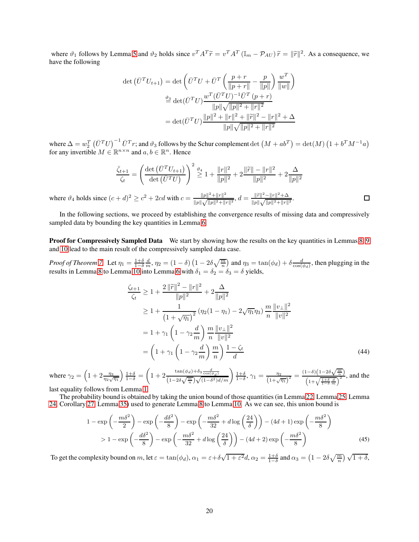where  $\vartheta_1$  follows by Lemma [5](#page-6-3) and  $\vartheta_2$  holds since  $v^T A^T \tilde{r} = v^T A^T (\mathbb{I}_m - \mathcal{P}_{AU}) \tilde{r} = ||\tilde{r}||^2$ . As a consequence, we have the following

$$
\det (\bar{U}^T U_{t+1}) = \det \left( \bar{U}^T U + \bar{U}^T \left( \frac{p+r}{\|p+r\|} - \frac{p}{\|p\|} \right) \frac{w^T}{\|w\|} \right)
$$
  

$$
\stackrel{\vartheta_3}{=} \det (\bar{U}^T U) \frac{w^T (\bar{U}^T U)^{-1} \bar{U}^T (p+r)}{\|p\| \sqrt{\|p\|^2 + \|r\|^2}}
$$
  

$$
= \det (\bar{U}^T U) \frac{\|p\|^2 + \|r\|^2 + \|\widetilde{r}\|^2 - \|r\|^2 + \Delta}{\|p\| \sqrt{\|p\|^2 + \|r\|^2}}
$$

where  $\Delta = w_2^T \left( \bar{U}^T U \right)^{-1} \bar{U}^T r$ ; and  $\vartheta_3$  follows by the Schur complement  $\det \left( M + ab^T \right) = \det(M) \left( 1 + b^T M^{-1} a \right)$ for any invertible  $M \in \mathbb{R}^{n \times n}$  and  $a, b \in \mathbb{R}^n$ . Hence

$$
\frac{\bar{\zeta}_{t+1}}{\zeta_t} = \left(\frac{\det(\bar{U}^T U_{t+1})}{\det(\bar{U}^T U)}\right)^2 \stackrel{\vartheta_4}{\geq} 1 + \frac{\|r\|^2}{\|p\|^2} + 2\frac{\|\widetilde{r}\| - \|r\|^2}{\|p\|^2} + 2\frac{\Delta}{\|p\|^2}
$$

where  $\vartheta_4$  holds since  $(c+d)^2 \ge c^2 + 2cd$  with  $c = \frac{||p||^2 + ||r||^2}{||p||_2 \sqrt{||p||^2 + ||r||^2}}$  $\frac{\|p\|^2 + \|r\|^2}{\|p\|\sqrt{\|p\|^2 + \|r\|^2}}, d = \frac{\|\widetilde{r}\|^2 - \|r\|^2 + \Delta}{\|p\|\sqrt{\|p\|^2 + \|r\|}}$  $\Box$ .  $||p|| \sqrt{||p||^2 + ||r||^2}$ 

In the following sections, we proceed by establishing the convergence results of missing data and compressively sampled data by bounding the key quantities in Lemma [6.](#page-7-0)

Proof for Compressively Sampled Data We start by showing how the results on the key quantities in Lemmas [8,](#page-8-1) [9](#page-8-2) and [10](#page-8-2) lead to the main result of the compressively sampled data case.

*Proof of Theorem* [7.](#page-8-0) Let  $\eta_1 = \frac{1+\delta}{1-\delta} \frac{d}{m}$ ,  $\eta_2 = (1-\delta) (1-2\delta \sqrt{\frac{m}{n}})$  and  $\eta_3 = \tan(\phi_d) + \delta \frac{d}{\cos(\phi_d)}$ , then plugging in the results in Lemma [8](#page-8-1) to Lemma [10](#page-8-2) into Lemma [6](#page-7-0) with  $\delta_1 = \delta_2 = \delta_3 = \delta$  yields,

$$
\frac{\zeta_{t+1}}{\zeta_t} \ge 1 + \frac{2 \|\tilde{r}\|^2 - \|r\|^2}{\|p\|^2} + 2 \frac{\Delta}{\|p\|^2}
$$
\n
$$
\ge 1 + \frac{1}{\left(1 + \sqrt{\eta_1}\right)^2} \left(\eta_2 (1 - \eta_1) - 2\sqrt{\eta_1} \eta_3\right) \frac{m}{n} \frac{\|v_\perp\|^2}{\|v\|^2}
$$
\n
$$
= 1 + \gamma_1 \left(1 - \gamma_2 \frac{d}{m}\right) \frac{m}{n} \frac{\|v_\perp\|^2}{\|v\|^2}
$$
\n
$$
= \left(1 + \gamma_1 \left(1 - \gamma_2 \frac{d}{m}\right) \frac{m}{n} \right) \frac{1 - \zeta_t}{d}
$$
\n(44)

where  $\gamma_2 = \left(1 + 2 \frac{\eta_3}{\eta_2 \sqrt{\eta_1}}\right)$  $\left.\begin{array}{c} \frac{1+\delta}{1-\delta} = \end{array}\right.$  $\sqrt{ }$  $1+2\frac{\tan(\phi_d)+\delta_3\frac{d}{\cos(\phi_d)}}{(1-2\delta\sqrt{\frac{m}{n}})\sqrt{(1-\delta^2)d/m}}\bigg)\frac{1+\delta}{1-\delta}$ ,  $\gamma_1 = \frac{\eta_2}{(1+\sqrt{\eta_1})^2} = \frac{(1-\delta)(1-2\delta\sqrt{\frac{m}{n}})}{(1+\sqrt{\frac{1+\delta}{1-\delta}\frac{d}{m}})^2}$ , and the

last equality follows from Lemma [1.](#page-4-0)

The probability bound is obtained by taking the union bound of those quantities (in Lemma [22,](#page-20-0) Lemma [25,](#page-21-0) Lemma [24,](#page-21-1) Corollary [27,](#page-22-0) Lemma [35\)](#page-27-0) used to generate Lemma [8](#page-8-1) to Lemma [10.](#page-8-2) As we can see, this union bound is

<span id="page-19-0"></span>
$$
1 - \exp\left(-\frac{m\delta^2}{2}\right) - \exp\left(-\frac{d\delta^2}{8}\right) - \exp\left(-\frac{m\delta^2}{32} + d\log\left(\frac{24}{\delta}\right)\right) - (4d+1)\exp\left(-\frac{m\delta^2}{8}\right) > 1 - \exp\left(-\frac{d\delta^2}{8}\right) - \exp\left(-\frac{m\delta^2}{32} + d\log\left(\frac{24}{\delta}\right)\right) - (4d+2)\exp\left(-\frac{m\delta^2}{8}\right)
$$
(45)

To get the complexity bound on m, let  $\varepsilon = \tan(\phi_d)$ ,  $\alpha_1 = \varepsilon + \delta \sqrt{1 + \varepsilon^2} d$ ,  $\alpha_2 = \frac{1+\delta}{1-\delta}$  and  $\alpha_3 = \left(1 - 2\delta \sqrt{\frac{m}{n}}\right) \sqrt{1+\delta}$ ,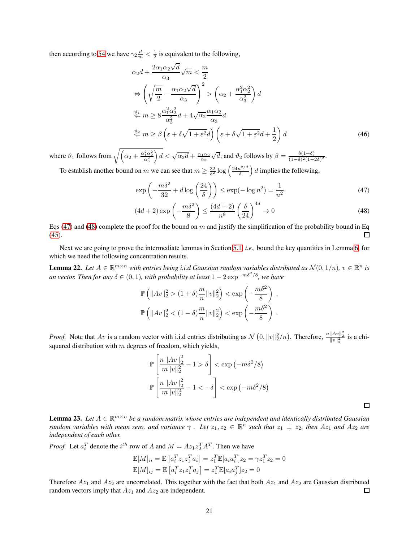then according to [54](#page-23-0) we have  $\gamma_2 \frac{d}{m} < \frac{1}{2}$  is equivalent to the following,

$$
\alpha_2 d + \frac{2\alpha_1 \alpha_2 \sqrt{d}}{\alpha_3} \sqrt{m} < \frac{m}{2}
$$
\n
$$
\Leftrightarrow \left( \sqrt{\frac{m}{2}} - \frac{\alpha_1 \alpha_2 \sqrt{d}}{\alpha_3} \right)^2 > \left( \alpha_2 + \frac{\alpha_1^2 \alpha_2^2}{\alpha_3^2} \right) d
$$
\n
$$
\stackrel{\vartheta_1}{\Leftrightarrow} m \ge 8 \frac{\alpha_1^2 \alpha_2^2}{\alpha_3^2} d + 4 \sqrt{\alpha_2} \frac{\alpha_1 \alpha_2}{\alpha_3} d
$$
\n
$$
\stackrel{\vartheta_2}{\Leftrightarrow} m \ge \beta \left( \varepsilon + \delta \sqrt{1 + \varepsilon^2} d \right) \left( \varepsilon + \delta \sqrt{1 + \varepsilon^2} d + \frac{1}{2} \right) d \tag{46}
$$

where  $\vartheta_1$  follows from  $\sqrt{\left(\alpha_2 + \frac{\alpha_1^2 \alpha_2^2}{\alpha_3^2}\right)}$  $\int d < \sqrt{\alpha_2 d} + \frac{\alpha_1 \alpha_2}{\alpha_3}$  $\sqrt{d}$ ; and  $\vartheta_2$  follows by  $\beta = \frac{8(1+\delta)}{(1-\delta)^2(1-\delta)}$  $\frac{8(1+0)}{(1-\delta)^2(1-2\delta)^2}$ 

To establish another bound on m we can see that  $m \ge \frac{32}{\delta^2} \log \left( \frac{24n^{2/d}}{\delta} \right)$ δ  $\left( d \right)$  d implies the following,

$$
\exp\left(-\frac{m\delta^2}{32} + d\log\left(\frac{24}{\delta}\right)\right) \le \exp(-\log n^2) = \frac{1}{n^2} \tag{47}
$$

$$
(4d+2)\exp\left(-\frac{m\delta^2}{8}\right) \le \frac{(4d+2)}{n^8} \left(\frac{\delta}{24}\right)^{4d} \to 0\tag{48}
$$

Eqs [\(47\)](#page-20-1) and [\(48\)](#page-20-2) complete the proof for the bound on m and justify the simplification of the probability bound in Eq [\(45\)](#page-19-0).  $\Box$ 

Next we are going to prove the intermediate lemmas in Section [5.1,](#page-7-1) *i.e.,* bound the key quantities in Lemma [6,](#page-7-0) for which we need the following concentration results.

<span id="page-20-0"></span>**Lemma 22.** Let  $A \in \mathbb{R}^{m \times n}$  with entries being i.i.d Gaussian random variables distributed as  $\mathcal{N}(0,1/n)$ ,  $v \in \mathbb{R}^n$  is *an vector. Then for any*  $\delta \in (0, 1)$ , with probability at least  $1 - 2 \exp^{-m\delta^2/8}$ , we have

$$
\mathbb{P}\left(\|Av\|_2^2 > (1+\delta)\frac{m}{n}\|v\|_2^2\right) < \exp\left(-\frac{m\delta^2}{8}\right),
$$
  

$$
\mathbb{P}\left(\|Av\|_2^2 < (1-\delta)\frac{m}{n}\|v\|_2^2\right) < \exp\left(-\frac{m\delta^2}{8}\right).
$$

*Proof.* Note that  $Av$  is a random vector with i.i.d entries distributing as  $\mathcal{N}(0, ||v||_2^2/n)$ . Therefore,  $\frac{n||Av||_2^2}{||v||_2^2}$  is a chisquared distribution with  $m$  degrees of freedom, which yields,

$$
\mathbb{P}\left[\frac{n\left\|Av\right\|_{2}^{2}}{m\|v\|_{2}^{2}} - 1 > \delta\right] < \exp\left(-m\delta^{2}/8\right)
$$

$$
\mathbb{P}\left[\frac{n\left\|Av\right\|_{2}^{2}}{m\|v\|_{2}^{2}} - 1 < -\delta\right] < \exp\left(-m\delta^{2}/8\right)
$$

<span id="page-20-2"></span><span id="page-20-1"></span> $\Box$ 

<span id="page-20-3"></span>**Lemma 23.** Let  $A \in \mathbb{R}^{m \times n}$  be a random matrix whose entries are independent and identically distributed Gaussian *random variables with mean zero, and variance*  $\gamma$  *. Let*  $z_1, z_2 \in \mathbb{R}^n$  *such that*  $z_1 \perp z_2$ *, then*  $Az_1$  *and*  $Az_2$  *are independent of each other.*

*Proof.* Let  $a_i^T$  denote the  $i^{th}$  row of A and  $M = A z_1 z_2^T A^T$ . Then we have

$$
\mathbb{E}[M]_{ii} = \mathbb{E}[a_i^T z_1 z_1^T a_i] = z_1^T \mathbb{E}[a_i a_i^T] z_2 = \gamma z_1^T z_2 = 0
$$
  

$$
\mathbb{E}[M]_{ij} = \mathbb{E}[a_i^T z_1 z_1^T a_j] = z_1^T \mathbb{E}[a_i a_j^T] z_2 = 0
$$

Therefore  $Az_1$  and  $Az_2$  are uncorrelated. This together with the fact that both  $Az_1$  and  $Az_2$  are Gaussian distributed random vectors imply that  $Az_1$  and  $Az_2$  are independent.  $\Box$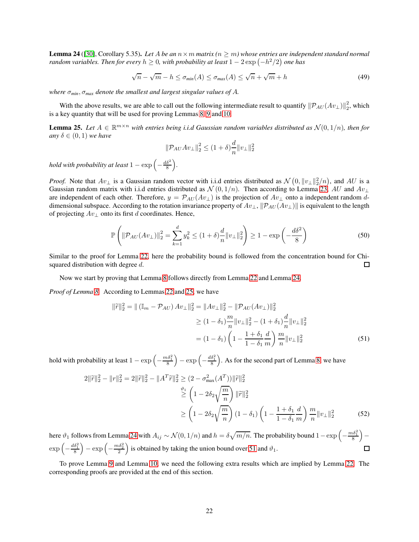Lemma 24 ([\[30\]](#page-30-18), Corollary 5.35). *Let* A *be an* n×m *matrix (*n ≥ m*) whose entries are independent standard normal random variables. Then for every*  $h \geq 0$ *, with probability at least*  $1 - 2\exp\left(-h^2/2\right)$  *one has* 

<span id="page-21-1"></span>
$$
\sqrt{n} - \sqrt{m} - h \le \sigma_{\min}(A) \le \sigma_{\max}(A) \le \sqrt{n} + \sqrt{m} + h \tag{49}
$$

*where* σ*min*, σ*max denote the smallest and largest singular values of* A*.*

With the above results, we are able to call out the following intermediate result to quantify  $\|\mathcal{P}_{AU}(Av_\perp)\|_2^2$  $\frac{2}{2}$ , which is a key quantity that will be used for proving Lemmas [8,](#page-8-1) [9](#page-8-2) and [10.](#page-8-2)

**Lemma 25.** Let  $A \in \mathbb{R}^{m \times n}$  with entries being i.i.d Gaussian random variables distributed as  $\mathcal{N}(0,1/n)$ , then for *any*  $\delta \in (0,1)$  *we have* 

<span id="page-21-0"></span>
$$
\|\mathcal{P}_{AU}Av_{\perp}\|_{2}^{2} \leq (1+\delta)\frac{d}{n}\|v_{\perp}\|_{2}^{2}
$$

*hold with probability at least*  $1 - \exp \left( - \frac{d \delta^2}{8} \right)$ *.*

*Proof.* Note that  $Av_{\perp}$  is a Gaussian random vector with i.i.d entries distributed as  $\mathcal{N}(0, ||v_{\perp}||_2^2/n)$ , and  $AU$  is a Gaussian random matrix with i.i.d entries distributed as  $\mathcal{N}(0, 1/n)$ . Then according to Lemma [23,](#page-20-3) AU and Av<sub>⊥</sub> are independent of each other. Therefore,  $y = \mathcal{P}_{AU}(Av_{\perp})$  is the projection of  $Av_{\perp}$  onto a independent random ddimensional subspace. According to the rotation invariance property of  $Av_{\perp}$ ,  $\|\mathcal{P}_{AU}(Av_{\perp})\|$  is equivalent to the length of projecting  $Av_{\perp}$  onto its first d coordinates. Hence,

$$
\mathbb{P}\left(\|\mathcal{P}_{AU}(Av_{\perp})\|_{2}^{2} = \sum_{k=1}^{d} y_{k}^{2} \le (1+\delta)\frac{d}{n} \|v_{\perp}\|_{2}^{2}\right) \ge 1 - \exp\left(-\frac{d\delta^{2}}{8}\right)
$$
(50)

Similar to the proof for Lemma [22,](#page-20-0) here the probability bound is followed from the concentration bound for Chisquared distribution with degree d. 口

Now we start by proving that Lemma [8](#page-8-1) follows directly from Lemma [22](#page-20-0) and Lemma [24.](#page-21-1)

*Proof of Lemma [8.](#page-8-1)* According to Lemmas [22](#page-20-0) and [25,](#page-21-0) we have

<span id="page-21-2"></span>
$$
\|\widetilde{r}\|_{2}^{2} = \|(\mathbb{I}_{m} - \mathcal{P}_{AU}) Av_{\perp}\|_{2}^{2} = \|Av_{\perp}\|_{2}^{2} - \|\mathcal{P}_{AU}(Av_{\perp})\|_{2}^{2}
$$
  
\n
$$
\geq (1 - \delta_{1}) \frac{m}{n} \|v_{\perp}\|_{2}^{2} - (1 + \delta_{1}) \frac{d}{n} \|v_{\perp}\|_{2}^{2}
$$
  
\n
$$
= (1 - \delta_{1}) \left(1 - \frac{1 + \delta_{1}}{1 - \delta_{1}} \frac{d}{m}\right) \frac{m}{n} \|v_{\perp}\|_{2}^{2}
$$
(51)

hold with probability at least  $1 - \exp\left(-\frac{m\delta_1^2}{8}\right)$  $= \exp\left(-\frac{d\delta_1^2}{8}\right)$ . As for the second part of Lemma [8,](#page-8-1) we have

$$
2\|\tilde{r}\|_{2}^{2} - \|r\|_{2}^{2} = 2\|\tilde{r}\|_{2}^{2} - \|A^{T}\tilde{r}\|_{2}^{2} \geq (2 - \sigma_{\max}^{2}(A^{T}))\|\tilde{r}\|_{2}^{2}
$$
  
\n
$$
\stackrel{\vartheta_{1}}{\geq} \left(1 - 2\delta_{2}\sqrt{\frac{m}{n}}\right)\|\tilde{r}\|_{2}^{2}
$$
  
\n
$$
\geq \left(1 - 2\delta_{2}\sqrt{\frac{m}{n}}\right)(1 - \delta_{1})\left(1 - \frac{1 + \delta_{1}}{1 - \delta_{1}}\frac{d}{m}\right)\frac{m}{n}\|v_{\perp}\|_{2}^{2}
$$
\n(52)

here  $\vartheta_1$  follows from Lemma [24](#page-21-1) with  $A_{ij} \sim \mathcal{N}(0, 1/n)$  and  $h = \delta \sqrt{m/n}$ . The probability bound  $1 - \exp \left(-\frac{m \delta_1^2}{8}\right)$  $\overline{\phantom{0}}$ −  $\exp\left(-\frac{d\delta_1^2}{8}\right)$  $= \exp\left(-\frac{m\delta_2^2}{2}\right)$ ) is obtained by taking the union bound over [51](#page-21-2) and  $\vartheta_1$ .  $\Box$ 

To prove Lemma [9](#page-8-2) and Lemma [10,](#page-8-2) we need the following extra results which are implied by Lemma [22.](#page-20-0) The corresponding proofs are provided at the end of this section.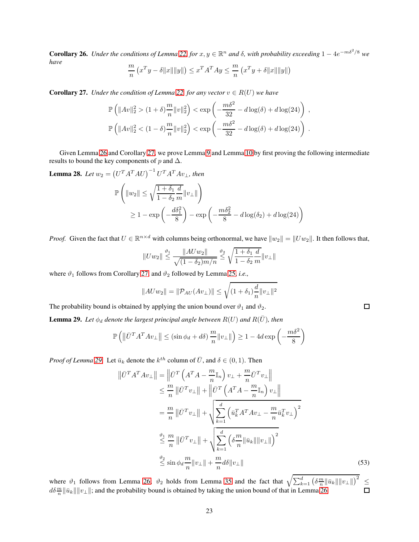**Corollary 26.** *Under the conditions of Lemma* [22,](#page-20-0) *for*  $x, y \in \mathbb{R}^n$  *and*  $\delta$ , *with probability exceeding*  $1 - 4e^{-m\delta^2/8}$  *we have* m m

$$
\frac{m}{n} (x^T y - \delta ||x|| ||y||) \le x^T A^T A y \le \frac{m}{n} (x^T y + \delta ||x|| ||y||)
$$

<span id="page-22-0"></span>**Corollary 27.** *Under the condition of Lemma [22,](#page-20-0) for any vector*  $v \in R(U)$  *we have* 

$$
\mathbb{P}\left(\|Av\|_{2}^{2} > (1+\delta)\frac{m}{n}\|v\|_{2}^{2}\right) < \exp\left(-\frac{m\delta^{2}}{32} - d\log(\delta) + d\log(24)\right),
$$
  

$$
\mathbb{P}\left(\|Av\|_{2}^{2} < (1-\delta)\frac{m}{n}\|v\|_{2}^{2}\right) < \exp\left(-\frac{m\delta^{2}}{32} - d\log(\delta) + d\log(24)\right).
$$

Given Lemma [26](#page-22-1) and Corollary [27,](#page-22-0) we prove Lemma [9](#page-8-2) and Lemma [10](#page-8-2) by first proving the following intermediate results to bound the key components of  $p$  and  $\Delta$ .

<span id="page-22-2"></span>**Lemma 28.** Let  $w_2 = (U^T A^T A U)^{-1} U^T A^T A v_{\perp}$ , then

$$
\mathbb{P}\left(\|w_2\| \le \sqrt{\frac{1+\delta_1}{1-\delta_2}} \frac{d}{m} \|v_\perp\|\right)
$$
  
 
$$
\ge 1 - \exp\left(-\frac{d\delta_1^2}{8}\right) - \exp\left(-\frac{m\delta_2^2}{8} - d\log(\delta_2) + d\log(24)\right)
$$

*Proof.* Given the fact that  $U \in \mathbb{R}^{n \times d}$  with columns being orthonormal, we have  $||w_2|| = ||Uw_2||$ . It then follows that,

$$
||Uw_2|| \stackrel{\vartheta_1}{\leq} \frac{||AUw_2||}{\sqrt{(1-\delta_2)m/n}} \stackrel{\vartheta_2}{\leq} \sqrt{\frac{1+\delta_1}{1-\delta_2}} \frac{d}{m} ||v_\perp||
$$

where  $\vartheta_1$  follows from Corollary [27,](#page-22-0) and  $\vartheta_2$  followed by Lemma [25,](#page-21-0) *i.e.*,

$$
||AUw_2|| = ||\mathcal{P}_{AU}(Av_\perp)|| \le \sqrt{(1+\delta_1)\frac{d}{n}}||v_\perp||^2
$$

The probability bound is obtained by applying the union bound over  $\vartheta_1$  and  $\vartheta_2$ .

**Lemma 29.** Let  $\phi_d$  denote the largest principal angle between  $R(U)$  and  $R(\bar{U})$ , then

$$
\mathbb{P}\left(\left\|\bar{U}^T A^T A v_\perp\right\| \le (\sin\phi_d + d\delta) \frac{m}{n} \|v_\perp\|\right) \ge 1 - 4d \exp\left(-\frac{m\delta^2}{8}\right)
$$

*Proof of Lemma* [29.](#page-22-1) Let  $\bar{u}_k$  denote the  $k^{th}$  column of  $\bar{U}$ , and  $\delta \in (0, 1)$ . Then

$$
\|\bar{U}^T A^T A v_{\perp}\| = \left\|\bar{U}^T \left(A^T A - \frac{m}{n} \mathbb{I}_n\right) v_{\perp} + \frac{m}{n} \bar{U}^T v_{\perp}\right\|
$$
  
\n
$$
\leq \frac{m}{n} \|\bar{U}^T v_{\perp}\| + \left\|\bar{U}^T \left(A^T A - \frac{m}{n} \mathbb{I}_n\right) v_{\perp}\right\|
$$
  
\n
$$
= \frac{m}{n} \|\bar{U}^T v_{\perp}\| + \sqrt{\sum_{k=1}^d \left(\bar{u}_k^T A^T A v_{\perp} - \frac{m}{n} \bar{u}_k^T v_{\perp}\right)^2}
$$
  
\n
$$
\leq \frac{\vartheta_1}{n} \|\bar{U}^T v_{\perp}\| + \sqrt{\sum_{k=1}^d \left(\delta \frac{m}{n} \|\bar{u}_k\| \|v_{\perp}\|\right)^2}
$$
  
\n
$$
\leq \sin \phi_d \frac{m}{n} \|v_{\perp}\| + \frac{m}{n} d\delta \|v_{\perp}\|
$$
 (53)

where  $\vartheta_1$  follows from Lemma [26;](#page-22-1)  $\vartheta_2$  holds from Lemma [35](#page-27-0) and the fact that  $\sqrt{\sum_{k=1}^d (\delta \frac{m}{n} ||\vec{u}_k|| ||\vec{v}_\perp||)^2}$ ≤  $\frac{d\delta \frac{m}{n}}{\|u_k\| \|v_\perp\|}$ ; and the probability bound is obtained by taking the union bound of that in Lemma [26.](#page-22-1)

<span id="page-22-1"></span>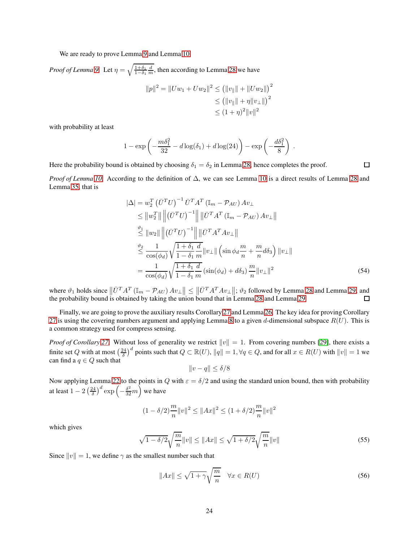We are ready to prove Lemma [9](#page-8-2) and Lemma [10.](#page-8-2)

*Proof of Lemma [9.](#page-8-2)* Let  $\eta = \sqrt{\frac{1+\delta_1}{1-\delta_1}}$  $\frac{1+\delta_1}{1-\delta_1} \frac{d}{m}$ , then according to Lemma [28](#page-22-2) we have  $||p||^2 = ||Uw_1 + Uw_2||^2 \le (||v_{\parallel}|| + ||Uw_2||)^2$  $\leq (||v_{\parallel}|| + \eta ||v_{\perp}||)^2$  $\leq (1+\eta)^2 ||v||^2$ 

with probability at least

$$
1 - \exp\left(-\frac{m\delta_1^2}{32} - d\log(\delta_1) + d\log(24)\right) - \exp\left(-\frac{d\delta_1^2}{8}\right).
$$

Here the probability bound is obtained by choosing  $\delta_1 = \delta_2$  in Lemma [28,](#page-22-2) hence completes the proof.

<span id="page-23-0"></span> $\Box$ 

*Proof of Lemma [10.](#page-8-2)* According to the definition of ∆, we can see Lemma [10](#page-8-2) is a direct results of Lemma [28](#page-22-2) and Lemma [35,](#page-27-0) that is

$$
\begin{split}\n|\Delta| &= w_2^T \left(\bar{U}^T U\right)^{-1} \bar{U}^T A^T \left(\mathbb{I}_m - \mathcal{P}_{AU}\right) A v_\perp \\
&\leq \|w_2^T\| \left\| \left(\bar{U}^T U\right)^{-1} \right\| \left\| \bar{U}^T A^T \left(\mathbb{I}_m - \mathcal{P}_{AU}\right) A v_\perp \right\| \\
&\stackrel{\vartheta_1}{\leq} \|w_2\| \left\| \left(\bar{U}^T U\right)^{-1} \right\| \left\| \bar{U}^T A^T A v_\perp \right\| \\
&\stackrel{\vartheta_2}{\leq} \frac{1}{\cos(\phi_d)} \sqrt{\frac{1 + \delta_1}{1 - \delta_1}} \frac{d}{m} \|v_\perp\| \left(\sin \phi_d \frac{m}{n} + \frac{m}{n} d\delta_3\right) \|v_\perp\| \\
&= \frac{1}{\cos(\phi_d)} \sqrt{\frac{1 + \delta_1}{1 - \delta_1}} \frac{d}{m} \left(\sin(\phi_d) + d\delta_3\right) \frac{m}{n} \|v_\perp\|^2\n\end{split} \tag{54}
$$

where  $\vartheta_1$  holds since  $\|\bar{U}^T A^T (\mathbb{I}_m - \mathcal{P}_{AU}) A v_\perp\| \leq \|\bar{U}^T A^T A v_\perp\|$ ;  $\vartheta_2$  followed by Lemma [28](#page-22-2) and Lemma [29;](#page-22-1) and the probability bound is obtained by taking the union bound that in Lemma [28](#page-22-2) and Lemma [29.](#page-22-1)

Finally, we are going to prove the auxiliary results Corollary [27](#page-22-0) and Lemma [26.](#page-22-1) The key idea for proving Corollary [27](#page-22-0) is using the covering numbers argument and applying Lemma [8](#page-8-1) to a given d-dimensional subspace  $R(U)$ . This is a common strategy used for compress sensing.

*Proof of Corollary* [27.](#page-22-0) Without loss of generality we restrict  $||v|| = 1$ . From covering numbers [\[29\]](#page-30-19), there exists a finite set Q with at most  $\left(\frac{24}{\delta}\right)^d$  points such that  $Q \subset \mathbb{R}(U)$ ,  $||q|| = 1$ ,  $\forall q \in Q$ , and for all  $x \in R(U)$  with  $||v|| = 1$  we can find a  $q \in Q$  such that

$$
||v - q|| \le \delta/8
$$

Now applying Lemma [22](#page-20-0) to the points in Q with  $\varepsilon = \delta/2$  and using the standard union bound, then with probability at least  $1 - 2\left(\frac{24}{\delta}\right)^d \exp\left(-\frac{\delta^2}{32}m\right)$  we have

$$
(1-\delta/2)\frac{m}{n}\|v\|^2\leq \|Ax\|^2\leq (1+\delta/2)\frac{m}{n}\|v\|^2
$$

which gives

$$
\sqrt{1 - \delta/2} \sqrt{\frac{m}{n}} \|v\| \le \|Ax\| \le \sqrt{1 + \delta/2} \sqrt{\frac{m}{n}} \|v\|
$$
 (55)

Since  $||v|| = 1$ , we define  $\gamma$  as the smallest number such that

<span id="page-23-1"></span>
$$
||Ax|| \le \sqrt{1+\gamma} \sqrt{\frac{m}{n}} \quad \forall x \in R(U)
$$
\n(56)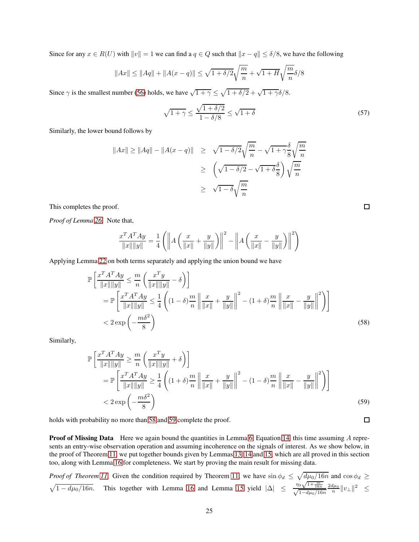Since for any  $x \in R(U)$  with  $||v|| = 1$  we can find a  $q \in Q$  such that  $||x - q|| \le \delta/8$ , we have the following

$$
||Ax|| \le ||Aq|| + ||A(x - q)|| \le \sqrt{1 + \delta/2} \sqrt{\frac{m}{n}} + \sqrt{1 + H} \sqrt{\frac{m}{n}} \delta/8
$$

Since  $\gamma$  is the smallest number [\(56\)](#page-23-1) holds, we have  $\sqrt{1+\gamma} \leq \sqrt{1+\delta/2} + \sqrt{1+\gamma}\delta/8$ .

$$
\sqrt{1+\gamma} \le \frac{\sqrt{1+\delta/2}}{1-\delta/8} \le \sqrt{1+\delta}
$$
\n(57)

Similarly, the lower bound follows by

$$
||Ax|| \ge ||Aq|| - ||A(x - q)|| \ge \sqrt{1 - \delta/2} \sqrt{\frac{m}{n}} - \sqrt{1 + \gamma} \frac{\delta}{8} \sqrt{\frac{m}{n}}
$$
  

$$
\ge \left( \sqrt{1 - \delta/2} - \sqrt{1 + \delta} \frac{\delta}{8} \right) \sqrt{\frac{m}{n}}
$$
  

$$
\ge \sqrt{1 - \delta} \sqrt{\frac{m}{n}}
$$

This completes the proof.

*Proof of Lemma [26.](#page-22-1)* Note that,

$$
\frac{x^T A^T A y}{\|x\| \|y\|} = \frac{1}{4} \left( \left\| A \left( \frac{x}{\|x\|} + \frac{y}{\|y\|} \right) \right\|^2 - \left\| A \left( \frac{x}{\|x\|} - \frac{y}{\|y\|} \right) \right\|^2 \right)
$$

Applying Lemma [22](#page-20-0) on both terms separately and applying the union bound we have

$$
\mathbb{P}\left[\frac{x^T A^T A y}{\|x\| \|y\|} \leq \frac{m}{n} \left(\frac{x^T y}{\|x\| \|y\|} - \delta\right)\right]
$$
\n
$$
= \mathbb{P}\left[\frac{x^T A^T A y}{\|x\| \|y\|} \leq \frac{1}{4} \left((1 - \delta)\frac{m}{n} \left\|\frac{x}{\|x\|} + \frac{y}{\|y\|}\right\|^2 - (1 + \delta)\frac{m}{n} \left\|\frac{x}{\|x\|} - \frac{y}{\|y\|}\right\|^2\right)\right]
$$
\n
$$
< 2 \exp\left(-\frac{m\delta^2}{8}\right)
$$
\n(58)

Similarly,

$$
\mathbb{P}\left[\frac{x^T A^T A y}{\|x\| \|y\|} \ge \frac{m}{n} \left(\frac{x^T y}{\|x\| \|y\|} + \delta\right)\right]
$$
\n
$$
= \mathbb{P}\left[\frac{x^T A^T A y}{\|x\| \|y\|} \ge \frac{1}{4} \left((1+\delta)\frac{m}{n} \left\|\frac{x}{\|x\|} + \frac{y}{\|y\|} \right\|^2 - (1-\delta)\frac{m}{n} \left\|\frac{x}{\|x\|} - \frac{y}{\|y\|} \right\|^2\right)\right]
$$
\n
$$
< 2 \exp\left(-\frac{m\delta^2}{8}\right)
$$
\n(59)

holds with probability no more than [58](#page-24-0) and [59](#page-24-1) complete the proof.

**Proof of Missing Data** Here we again bound the quantities in Lemma [6,](#page-7-0) Equation [14,](#page-7-0) this time assuming A represents an entry-wise observation operation and assuming incoherence on the signals of interest. As we show below, in the proof of Theorem [11,](#page-10-0) we put together bounds given by Lemmas [13,](#page-10-1) [14](#page-11-1) and [15,](#page-11-1) which are all proved in this section too, along with Lemma [16](#page-11-2) for completeness. We start by proving the main result for missing data.

*Proof of Theorem [11.](#page-10-0)* Given the condition required by Theorem [11,](#page-10-0) we have  $\sin \phi_d \leq \sqrt{\frac{d\mu_0}{16n}}$  and  $\cos \phi_d \geq$  $\sqrt{1 - d\mu_0/16n}$ . This together with Lemma [16](#page-11-2) and Lemma [15](#page-11-1) yield  $|\Delta| \le \frac{n_3\sqrt{1 + \frac{m}{16n}}}{\sqrt{1 - d\mu_0/16n}}$  $\frac{73\sqrt{1+16n}}{\sqrt{1-d\mu_0/16n}}$  $\frac{2d\mu_0}{n}||v_\perp||^2 \leq$ 

<span id="page-24-1"></span><span id="page-24-0"></span> $\Box$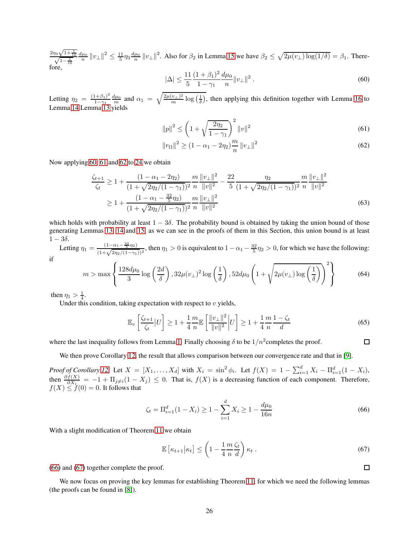$\frac{2\eta_3\sqrt{1+\frac{1}{16}}}{\sqrt{1-\frac{1}{16}}}$  $\frac{d\mu_0}{n} \|v_\perp\|^2 \le \frac{11}{5} \eta_3 \frac{d\mu_0}{n} \|v_\perp\|^2$ . Also for  $\beta_2$  in Lemma [15](#page-11-1) we have  $\beta_2 \le \sqrt{2\mu(v_\perp)\log(1/\delta)} = \beta_1$ . Therefore,

<span id="page-25-0"></span>
$$
|\Delta| \le \frac{11}{5} \frac{(1+\beta_1)^2}{1-\gamma_1} \frac{d\mu_0}{n} \|v_\perp\|^2.
$$
\n(60)

Letting  $\eta_2 = \frac{(1+\beta_1)^2}{1-\gamma_1}$  $\frac{(1+\beta_1)^2}{1-\gamma_1} \frac{d\mu_0}{m}$  and  $\alpha_1 = \sqrt{\frac{2\mu(v_\perp)^2}{m} \log\left(\frac{1}{\delta}\right)}$ , then applying this definition together with Lemma [16](#page-11-2) to Lemma [14](#page-11-1) Lemma [13](#page-10-1) yields

<span id="page-25-1"></span>
$$
||p||^2 \le \left(1 + \sqrt{\frac{2\eta_2}{1 - \gamma_1}}\right)^2 ||v||^2
$$
\n(61)

<span id="page-25-2"></span>
$$
||r_{\Omega}||^{2} \ge (1 - \alpha_{1} - 2\eta_{2}) \frac{m}{n} ||v_{\perp}||^{2}
$$
\n(62)

Now applying [60,](#page-25-0) [61](#page-25-1) and [62](#page-25-2) to [24](#page-10-0) we obtain

$$
\frac{\zeta_{t+1}}{\zeta_t} \ge 1 + \frac{(1 - \alpha_1 - 2\eta_2)}{(1 + \sqrt{2\eta_2/(1 - \gamma_1)})^2} \frac{m}{n} \frac{\|v_\perp\|^2}{\|v\|^2} - \frac{22}{5} \frac{\eta_2}{(1 + \sqrt{2\eta_2/(1 - \gamma_1)})^2} \frac{m}{n} \frac{\|v_\perp\|^2}{\|v\|^2}
$$
\n
$$
\ge 1 + \frac{(1 - \alpha_1 - \frac{32}{5}\eta_2)}{(1 + \sqrt{2\eta_2/(1 - \gamma_1)})^2} \frac{m}{n} \frac{\|v_\perp\|^2}{\|v\|^2}
$$
\n(63)

which holds with probability at least  $1 - 3\delta$ . The probability bound is obtained by taking the union bound of those generating Lemmas [13,](#page-10-1) [14](#page-11-1) and [15,](#page-11-1) as we can see in the proofs of them in this Section, this union bound is at least  $1 - 3\delta$ .

Letting  $\eta_1 = \frac{(1-\alpha_1-\frac{32}{5}\eta_2)}{(1+\sqrt{2\eta_2/(1-\gamma_1)})^2}$ , then  $\eta_1 > 0$  is equivalent to  $1-\alpha_1-\frac{32}{5}\eta_2 > 0$ , for which we have the following: if

$$
m > \max\left\{\frac{128d\mu_0}{3}\log\left(\frac{2d}{\delta}\right), 32\mu(v_\perp)^2\log\left(\frac{1}{\delta}\right), 52d\mu_0\left(1 + \sqrt{2\mu(v_\perp)\log\left(\frac{1}{\delta}\right)}\right)^2\right\}
$$
(64)

then  $\eta_1 > \frac{1}{4}$ .

Under this condition, taking expectation with respect to  $v$  yields,

$$
\mathbb{E}_v\left[\frac{\zeta_{t+1}}{\zeta_t}|U\right] \ge 1 + \frac{1}{4}\frac{m}{n}\mathbb{E}\left[\frac{\|v_\perp\|^2}{\|v\|^2}\bigg|U\right] \ge 1 + \frac{1}{4}\frac{m}{n}\frac{1-\zeta_t}{d} \tag{65}
$$

where the last inequality follows from Lemma [1.](#page-4-0) Finally choosing  $\delta$  to be  $1/n^2$ completes the proof.

We then prove Corollary [12,](#page-10-2) the result that allows comparison between our convergence rate and that in [\[9\]](#page-29-11).

*Proof of Corollary* [12.](#page-10-2) Let  $X = [X_1, \ldots, X_d]$  with  $X_i = \sin^2 \phi_i$ . Let  $f(X) = 1 - \sum_{i=1}^d X_i - \prod_{i=1}^d (1 - X_i)$ , then  $\frac{\partial f(X)}{\partial X_i} = -1 + \Pi_{j \neq i} (1 - X_j) \leq 0$ . That is,  $f(X)$  is a decreasing function of each component. Therefore,  $f(X) \le f(0) = 0$ . It follows that

<span id="page-25-3"></span>
$$
\zeta_t = \Pi_{i=1}^d (1 - X_i) \ge 1 - \sum_{i=1}^d X_i \ge 1 - \frac{d\mu_0}{16n} \tag{66}
$$

With a slight modification of Theorem [11](#page-10-0) we obtain

$$
\mathbb{E}\left[\kappa_{t+1}|\kappa_t\right] \le \left(1 - \frac{1}{4}\frac{m\,\zeta_t}{n\,\,d}\right)\kappa_t\,. \tag{67}
$$

[\(66\)](#page-25-3) and [\(67\)](#page-25-4) together complete the proof.

We now focus on proving the key lemmas for establishing Theorem [11,](#page-10-0) for which we need the following lemmas (the proofs can be found in [\[8\]](#page-29-13)).

<span id="page-25-4"></span>

 $\Box$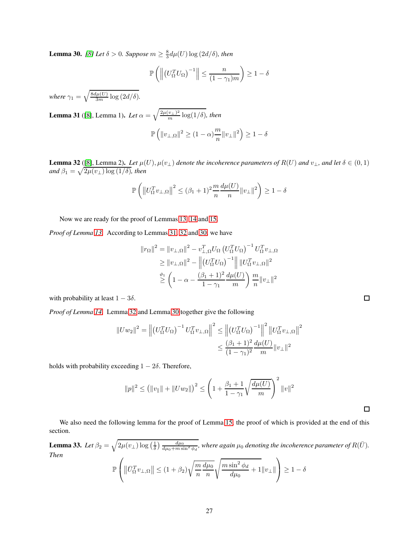**Lemma 30.** [\[8\]](#page-29-13) Let  $\delta > 0$ . Suppose  $m \geq \frac{8}{3} d\mu(U) \log \left(2d/\delta\right)$ , then

$$
\mathbb{P}\left(\left\|\left(U_{\Omega}^T U_{\Omega}\right)^{-1}\right\| \leq \frac{n}{(1-\gamma_1)m}\right) \geq 1-\delta
$$

*where*  $\gamma_1 = \sqrt{\frac{8d\mu(U)}{3m} \log\left(\frac{2d}{\delta}\right)}$ .

**Lemma 31** ([\[8\]](#page-29-13), Lemma 1). Let  $\alpha = \sqrt{\frac{2\mu(v_{\perp})^2}{m} \log(1/\delta)}$ , then  $\mathbb{P}\left(\|v_{\perp,\Omega}\|^2\geq (1-\alpha)\frac{m}{n}\right)$  $\frac{m}{n} ||v_\perp||^2$   $\geq 1 - \delta$ 

<span id="page-26-0"></span>**Lemma 32** ([\[8\]](#page-29-13), Lemma 2). Let  $\mu(U)$ ,  $\mu(v_{\perp})$  denote the incoherence parameters of  $R(U)$  and  $v_{\perp}$ , and let  $\delta \in (0,1)$ and  $\beta_1 = \sqrt{2\mu(v_\perp) \log(1/\delta)}$ *, then* 

$$
\mathbb{P}\left(\left\|U_{\Omega}^T v_{\perp,\Omega}\right\|^2 \leq (\beta_1 + 1)^2 \frac{m}{n} \frac{d\mu(U)}{n} \|v_{\perp}\|^2\right) \geq 1 - \delta
$$

Now we are ready for the proof of Lemmas [13,](#page-10-1) [14](#page-11-1) and [15.](#page-11-1)

*Proof of Lemma [13.](#page-10-1)* According to Lemmas [31,](#page-28-0) [32](#page-26-0) and [30,](#page-28-0) we have

$$
||r_{\Omega}||^{2} = ||v_{\perp,\Omega}||^{2} - v_{\perp,\Omega}^{T}U_{\Omega} (U_{\Omega}^{T}U_{\Omega})^{-1} U_{\Omega}^{T}v_{\perp,\Omega}
$$
  
\n
$$
\geq ||v_{\perp,\Omega}||^{2} - \left\| (U_{\Omega}^{T}U_{\Omega})^{-1} \right\| ||U_{\Omega}^{T}v_{\perp,\Omega}||^{2}
$$
  
\n
$$
\geq \left(1 - \alpha - \frac{(\beta_{1} + 1)^{2}}{1 - \gamma_{1}} \frac{d\mu(U)}{m}\right) \frac{m}{n} ||v_{\perp}||^{2}
$$

with probability at least  $1 - 3\delta$ .

*Proof of Lemma [14.](#page-11-1)* Lemma [32](#page-26-0) and Lemma [30](#page-28-0) together give the following

$$
||Uw_2||^2 = ||(U_{\Omega}^T U_{\Omega})^{-1} U_{\Omega}^T v_{\perp, \Omega}||^2 \le ||(U_{\Omega}^T U_{\Omega})^{-1}||^2 ||U_{\Omega}^T v_{\perp, \Omega}||^2
$$
  

$$
\le \frac{(\beta_1 + 1)^2}{(1 - \gamma_1)^2} \frac{d\mu(U)}{m} ||v_{\perp}||^2
$$

holds with probability exceeding  $1 - 2\delta$ . Therefore,

$$
||p||^2 \le (||v_{||}|| + ||Uw_{2}||)^2 \le \left(1 + \frac{\beta_1 + 1}{1 - \gamma_1} \sqrt{\frac{d\mu(U)}{m}}\right)^2 ||v||^2
$$

We also need the following lemma for the proof of Lemma [15,](#page-11-1) the proof of which is provided at the end of this section.

**Lemma 33.** Let  $\beta_2 = \sqrt{2\mu(v_\perp)\log\left(\frac{1}{\delta}\right)\frac{d\mu_0}{d\mu_0+m\sin^2\phi_d}}$ , where again  $\mu_0$  denoting the incoherence parameter of  $R(\bar{U})$ . *Then*

$$
\mathbb{P}\left(\left\|\bar{U}_{\Omega}^T v_{\perp,\Omega}\right\| \le (1+\beta_2)\sqrt{\frac{m}{n}\frac{d\mu_0}{n}}\sqrt{\frac{m\sin^2\phi_d}{d\mu_0}+1}\|v_{\perp}\|\right) \ge 1-\delta
$$

 $\Box$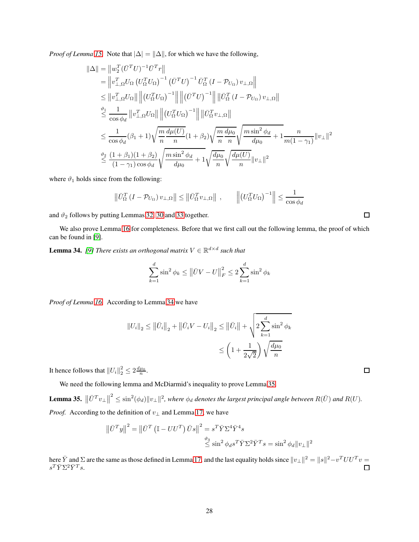*Proof of Lemma [15.](#page-11-1)* Note that  $|\Delta| = ||\Delta||$ , for which we have the following,

$$
\|\Delta\| = \|w_{\perp,\Omega}^{T}(\bar{U}^{T}U)^{-1}\bar{U}^{T}r\|
$$
\n
$$
= \|v_{\perp,\Omega}^{T}U_{\Omega} (U_{\Omega}^{T}U_{\Omega})^{-1} (\bar{U}^{T}U)^{-1}\bar{U}_{\Omega}^{T} (I - \mathcal{P}_{U_{\Omega}}) v_{\perp,\Omega}\|
$$
\n
$$
\leq \|v_{\perp,\Omega}^{T}U_{\Omega}\| \|(U_{\Omega}^{T}U_{\Omega})^{-1}\| \|( \bar{U}^{T}U)^{-1}\| \|\bar{U}_{\Omega}^{T} (I - \mathcal{P}_{U_{\Omega}}) v_{\perp,\Omega}\|
$$
\n
$$
\leq \frac{1}{\cos \phi_{d}} \|v_{\perp,\Omega}^{T}U_{\Omega}\| \|(U_{\Omega}^{T}U_{\Omega})^{-1}\| \|\bar{U}_{\Omega}^{T}v_{\perp,\Omega}\|
$$
\n
$$
\leq \frac{1}{\cos \phi_{d}} (\beta_{1} + 1) \sqrt{\frac{m}{n}} \frac{d\mu(U)}{n} (1 + \beta_{2}) \sqrt{\frac{m}{n}} \frac{d\mu_{0}}{n} \sqrt{\frac{m \sin^{2} \phi_{d}}{d\mu_{0}} + 1} + \frac{n}{m(1 - \gamma_{1})} \|v_{\perp}\|^{2}
$$
\n
$$
\leq \frac{(1 + \beta_{1})(1 + \beta_{2})}{(1 - \gamma_{1}) \cos \phi_{d}} \sqrt{\frac{m \sin^{2} \phi_{d}}{d\mu_{0}} + 1} \sqrt{\frac{d\mu_{0}}{n}} \sqrt{\frac{d\mu(U)}{n}} \|v_{\perp}\|^{2}
$$

where  $\vartheta_1$  holds since from the following:

$$
\left\|\bar{U}_{\Omega}^T\left(I-\mathcal{P}_{U_{\Omega}}\right)v_{\perp,\Omega}\right\| \le \left\|\bar{U}_{\Omega}^Tv_{\perp,\Omega}\right\| ,\qquad \left\|\left(U_{\Omega}^TU_{\Omega}\right)^{-1}\right\| \le \frac{1}{\cos\phi_d}
$$

and  $\vartheta_2$  follows by putting Lemmas [32,](#page-26-0) [30](#page-28-0) and [33](#page-28-0) together.

We also prove Lemma [16](#page-11-2) for completeness. Before that we first call out the following lemma, the proof of which can be found in [\[9\]](#page-29-11).

**Lemma 34.** [\[9\]](#page-29-11) There exists an orthogonal matrix  $V \in \mathbb{R}^{d \times d}$  such that

$$
\sum_{k=1}^{d} \sin^{2} \phi_{k} \leq ||\bar{U}V - U||_{F}^{2} \leq 2 \sum_{k=1}^{d} \sin^{2} \phi_{k}
$$

*Proof of Lemma [16.](#page-11-2)* According to Lemma [34](#page-28-0) we have

$$
||U_i||_2 \le ||\bar{U}_i||_2 + ||\bar{U}_i V - U_i||_2 \le ||\bar{U}_i|| + \sqrt{2 \sum_{k=1}^d \sin^2 \phi_k}
$$
  

$$
\le \left(1 + \frac{1}{2\sqrt{2}}\right) \sqrt{\frac{d\mu_0}{n}}
$$

It hence follows that  $||U_i||_2^2 \leq 2 \frac{d\mu_0}{n}$ .

We need the following lemma and McDiarmid's inequality to prove Lemma [35.](#page-27-0)

<span id="page-27-0"></span>**Lemma 35.**  $\left\|\bar{U}^T v_{\perp}\right\|^2 \leq \sin^2(\phi_d) \|v_{\perp}\|^2$ , where  $\phi_d$  denotes the largest principal angle between  $R(\bar{U})$  and  $R(U)$ . *Proof.* According to the definition of  $v_{\perp}$  and Lemma [17,](#page-14-2) we have

$$
\|\bar{U}^T y\|^2 = \|\bar{U}^T (\mathbb{I} - UU^T) \bar{U} s\|^2 = s^T \bar{Y} \Sigma^4 \bar{Y}^4 s
$$
  

$$
\stackrel{\vartheta_3}{\leq} \sin^2 \phi_d s^T \bar{Y} \Sigma^2 \bar{Y}^T s = \sin^2 \phi_d \|v_\perp\|^2
$$

here  $\overline{Y}$  and  $\Sigma$  are the same as those defined in Lemma [17,](#page-14-2) and the last equality holds since  $||v_\perp||^2 = ||s||^2 - v^T U U^T v =$  $s^T \bar{Y} \Sigma^2 \bar{Y}^T s.$  $\Box$ 

 $\Box$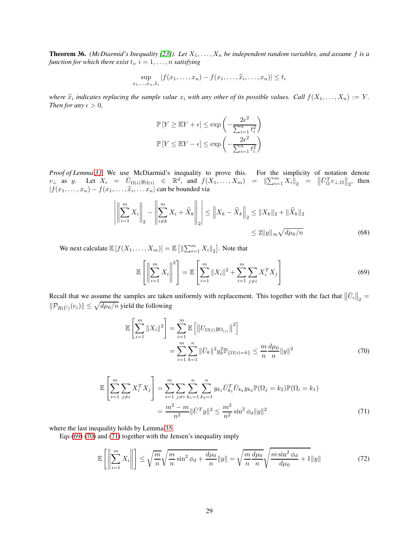<span id="page-28-5"></span>**Theorem 36.** *(McDiarmid's Inequality [\[23\]](#page-30-20)). Let*  $X_1, \ldots, X_n$  *be independent random variables, and assume* f *is a* function for which there exist  $t_i$ ,  $i = 1, \ldots, n$  satisfying

$$
\sup_{x_1,\ldots,x_n,\widehat{x}_i} |f(x_1,\ldots,x_n)-f(x_1,\ldots,\widehat{x}_i,\ldots,x_n)| \leq t_i
$$

where  $\hat{x}_i$  indicates replacing the sample value  $x_i$  with any other of its possible values. Call  $f(X_1, \ldots, X_n) := Y$ .<br>Then for groups  $\hat{y}_i$ *Then for any*  $\epsilon > 0$ *,* 

$$
\mathbb{P}\left[Y \ge \mathbb{E}Y + \epsilon\right] \le \exp\left(-\frac{2\epsilon^2}{\sum_{i=1}^n t_i^2}\right)
$$

$$
\mathbb{P}\left[Y \le \mathbb{E}Y - \epsilon\right] \le \exp\left(-\frac{2\epsilon^2}{\sum_{i=1}^n t_i^2}\right)
$$

*Proof of Lemma [33.](#page-28-0)* We use McDiarmid's inequality to prove this. For the simplicity of notation denote  $v_{\perp}$  as y. Let  $X_i = \bar{U}_{\Omega(i)}y_{\Omega(i)} \in \mathbb{R}^d$ , and  $f(X_1, \ldots, X_m) = ||\sum_{i=1}^m X_i||_2 = ||\bar{U}_{\Omega}^T v_{\perp, \Omega}||_2$ , then  $|f(x_1,...,x_n) - f(x_1,...,\widehat{x}_i,...x_n|)$  can be bounded via

$$
\left| \left\| \sum_{i=1}^{m} X_i \right\|_2 - \left\| \sum_{i \neq k}^{m} X_i + \widehat{X}_k \right\|_2 \right| \le \left\| X_k - \widehat{X}_k \right\|_2 \le \|X_k\|_2 + \|\widehat{X}_k\|_2
$$
  

$$
\le 2\|y\|_{\infty} \sqrt{d\mu_0/n}
$$
 (68)

We next calculate  $\mathbb{E}[f(X_1, \ldots, X_m)] = \mathbb{E}[||\sum_{i=1}^m X_i||_2]$ . Note that

<span id="page-28-1"></span><span id="page-28-0"></span>
$$
\mathbb{E}\left[\left\|\sum_{i=1}^{m} X_i\right\|^2\right] = \mathbb{E}\left[\sum_{i=1}^{m} \|X_i\|^2 + \sum_{i=1}^{m} \sum_{j \neq i} X_i^T X_j\right]
$$
(69)

Recall that we assume the samples are taken uniformly with replacement. This together with the fact that  $\|\bar{U}_i\|_2 =$  $\|\mathcal{P}_{R(\bar{U})}(e_i)\| \leq \sqrt{d\mu_0/n}$  yield the following

<span id="page-28-3"></span><span id="page-28-2"></span>
$$
\mathbb{E}\left[\sum_{i=1}^{m}||X_{i}||^{2}\right] = \sum_{i=1}^{m}\mathbb{E}\left[\left||U_{\Omega(i)}y_{\Omega(i)}\right||^{2}\right] \n= \sum_{i=1}^{m}\sum_{k=1}^{n}||\bar{U}_{k}||^{2}y_{k}^{2}\mathbb{P}_{\{\Omega(i)=k\}} \leq \frac{m}{n}\frac{d\mu_{0}}{n}\|y\|^{2}
$$
\n(70)

$$
\mathbb{E}\left[\sum_{i=1}^{m}\sum_{j\neq i}X_{i}^{T}X_{j}\right] = \sum_{i=1}^{m}\sum_{j\neq i}\sum_{k_{1}=1}^{n}\sum_{k_{2}=1}^{n}y_{k_{1}}\bar{U}_{k_{1}}^{T}\bar{U}_{k_{2}}y_{k_{2}}\mathbb{P}(\Omega_{j}=k_{2})\mathbb{P}(\Omega_{i}=k_{1})
$$

$$
= \frac{m^{2}-m}{n^{2}}\|\bar{U}^{T}y\|^{2} \leq \frac{m^{2}}{n^{2}}\sin^{2}\phi_{d}\|y\|^{2}
$$
(71)

where the last inequality holds by Lemma [35.](#page-27-0)

Eqs [\(69\)](#page-28-1) [\(70\)](#page-28-2) and [\(71\)](#page-28-3) together with the Jensen's inequality imply

<span id="page-28-4"></span>
$$
\mathbb{E}\left[\left\|\sum_{i=1}^{m} X_i\right\|\right] \le \sqrt{\frac{m}{n}} \sqrt{\frac{m}{n} \sin^2 \phi_d + \frac{d\mu_0}{n}} \|y\| = \sqrt{\frac{m}{n} \frac{d\mu_0}{n}} \sqrt{\frac{m \sin^2 \phi_d}{d\mu_0} + 1} \|y\| \tag{72}
$$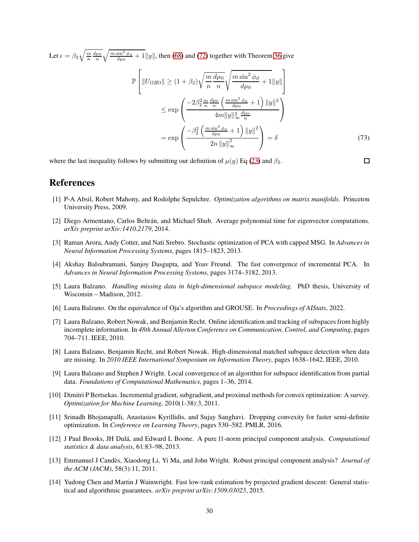Let  $\epsilon = \beta_2 \sqrt{\frac{m}{n} \frac{d\mu_0}{n}} \sqrt{\frac{m \sin^2 \phi_d}{d\mu_0} + 1} ||y||$ , then [\(68\)](#page-28-0) and [\(72\)](#page-28-4) together with Theorem [36](#page-28-5) give P  $\sqrt{ }$  $\|U_{\Omega}y_{\Omega}\|\geq (1+\beta_2)$  $\sqrt{m}$ n  $d\mu_0$ n  $\int m \sin^2 \phi_d$  $\frac{\partial H}{\partial \mu_0} + 1||y||$ 1  $\overline{1}$  $\leq$ exp  $\sqrt{ }$  $\mathbf{I}$  $-2\beta_2^2 \frac{m}{n} \frac{d\mu_0}{n}$  $\left(\frac{m\sin^2\phi_d}{d\mu_0}+1\right) ||y||^2$  $4m||y||_{\infty}^2$  $\frac{d\mu_0}{n}$  $\setminus$  $\mathbf{I}$  $=$  exp  $\sqrt{ }$  $\mathbf{I}$  $-\beta_2^2\left(\frac{m\sin^2\phi_d}{d\mu_0}+1\right)\left\|y\right\|^2$  $2n \left\|y\right\|_\infty^2$ ∞  $\setminus$  $= \delta$  (73)

where the last inequality follows by submitting our definition of  $\mu(y)$  Eq [\(23\)](#page-9-3) and  $\beta_2$ .

<span id="page-29-12"></span>References

- [1] P-A Absil, Robert Mahony, and Rodolphe Sepulchre. *Optimization algorithms on matrix manifolds*. Princeton University Press, 2009.
- <span id="page-29-1"></span>[2] Diego Armentano, Carlos Beltrán, and Michael Shub. Average polynomial time for eigenvector computations. *arXiv preprint arXiv:1410.2179*, 2014.
- <span id="page-29-10"></span>[3] Raman Arora, Andy Cotter, and Nati Srebro. Stochastic optimization of PCA with capped MSG. In *Advances in Neural Information Processing Systems*, pages 1815–1823, 2013.
- <span id="page-29-9"></span>[4] Akshay Balsubramani, Sanjoy Dasgupta, and Yoav Freund. The fast convergence of incremental PCA. In *Advances in Neural Information Processing Systems*, pages 3174–3182, 2013.
- <span id="page-29-8"></span><span id="page-29-0"></span>[5] Laura Balzano. *Handling missing data in high-dimensional subspace modeling*. PhD thesis, University of Wisconsin – Madison, 2012.
- <span id="page-29-7"></span>[6] Laura Balzano. On the equivalence of Oja's algorithm and GROUSE. In *Proceedings of AIStats*, 2022.
- [7] Laura Balzano, Robert Nowak, and Benjamin Recht. Online identification and tracking of subspaces from highly incomplete information. In *48th Annual Allerton Conference on Communication, Control, and Computing*, pages 704–711. IEEE, 2010.
- <span id="page-29-13"></span>[8] Laura Balzano, Benjamin Recht, and Robert Nowak. High-dimensional matched subspace detection when data are missing. In *2010 IEEE International Symposium on Information Theory*, pages 1638–1642. IEEE, 2010.
- <span id="page-29-11"></span>[9] Laura Balzano and Stephen J Wright. Local convergence of an algorithm for subspace identification from partial data. *Foundations of Computational Mathematics*, pages 1–36, 2014.
- <span id="page-29-6"></span>[10] Dimitri P Bertsekas. Incremental gradient, subgradient, and proximal methods for convex optimization: A survey. *Optimization for Machine Learning*, 2010(1-38):3, 2011.
- <span id="page-29-2"></span>[11] Srinadh Bhojanapalli, Anastasios Kyrillidis, and Sujay Sanghavi. Dropping convexity for faster semi-definite optimization. In *Conference on Learning Theory*, pages 530–582. PMLR, 2016.
- <span id="page-29-5"></span>[12] J Paul Brooks, JH Dulá, and Edward L Boone. A pure l1-norm principal component analysis. *Computational statistics & data analysis*, 61:83–98, 2013.
- <span id="page-29-4"></span>[13] Emmanuel J Candès, Xiaodong Li, Yi Ma, and John Wright. Robust principal component analysis? *Journal of the ACM (JACM)*, 58(3):11, 2011.
- <span id="page-29-3"></span>[14] Yudong Chen and Martin J Wainwright. Fast low-rank estimation by projected gradient descent: General statistical and algorithmic guarantees. *arXiv preprint arXiv:1509.03025*, 2015.

 $\square$